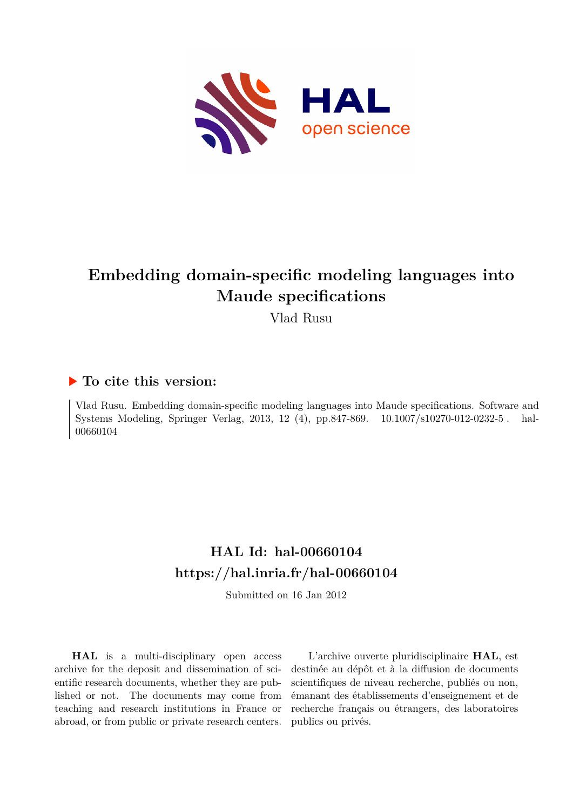

# **Embedding domain-specific modeling languages into Maude specifications**

Vlad Rusu

## **To cite this version:**

Vlad Rusu. Embedding domain-specific modeling languages into Maude specifications. Software and Systems Modeling, Springer Verlag, 2013, 12 (4), pp.847-869.  $10.1007 \text{/} s10270 \text{-} 012 \text{-} 0232 \text{-} 5$ . hal-00660104

# **HAL Id: hal-00660104 <https://hal.inria.fr/hal-00660104>**

Submitted on 16 Jan 2012

**HAL** is a multi-disciplinary open access archive for the deposit and dissemination of scientific research documents, whether they are published or not. The documents may come from teaching and research institutions in France or abroad, or from public or private research centers.

L'archive ouverte pluridisciplinaire **HAL**, est destinée au dépôt et à la diffusion de documents scientifiques de niveau recherche, publiés ou non, émanant des établissements d'enseignement et de recherche français ou étrangers, des laboratoires publics ou privés.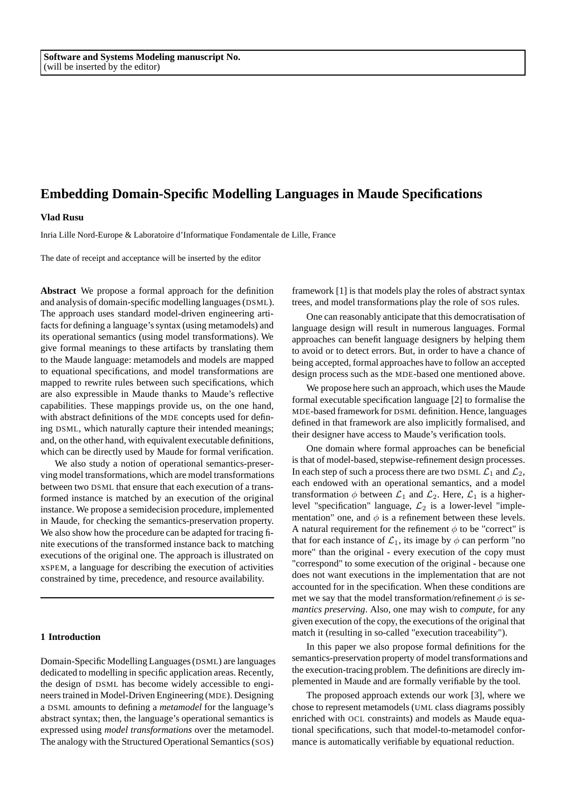#### **Vlad Rusu**

Inria Lille Nord-Europe & Laboratoire d'Informatique Fondamentale de Lille, France

The date of receipt and acceptance will be inserted by the editor

**Abstract** We propose a formal approach for the definition and analysis of domain-specific modelling languages (DSML). The approach uses standard model-driven engineering artifacts for defining a language's syntax (using metamodels) and its operational semantics (using model transformations). We give formal meanings to these artifacts by translating them to the Maude language: metamodels and models are mapped to equational specifications, and model transformations are mapped to rewrite rules between such specifications, which are also expressible in Maude thanks to Maude's reflective capabilities. These mappings provide us, on the one hand, with abstract definitions of the MDE concepts used for defining DSML, which naturally capture their intended meanings; and, on the other hand, with equivalent executable definitions, which can be directly used by Maude for formal verification.

We also study a notion of operational semantics-preserving model transformations, which are model transformations between two DSML that ensure that each execution of a transformed instance is matched by an execution of the original instance. We propose a semidecision procedure, implemented in Maude, for checking the semantics-preservation property. We also show how the procedure can be adapted for tracing finite executions of the transformed instance back to matching executions of the original one. The approach is illustrated on xSPEM, a language for describing the execution of activities constrained by time, precedence, and resource availability.

#### **1 Introduction**

Domain-Specific Modelling Languages (DSML) are languages dedicated to modelling in specific application areas. Recently, the design of DSML has become widely accessible to engineers trained in Model-Driven Engineering (MDE). Designing a DSML amounts to defining a *metamodel* for the language's abstract syntax; then, the language's operational semantics is expressed using *model transformations* over the metamodel. The analogy with the Structured Operational Semantics (SOS)

framework [1] is that models play the roles of abstract syntax trees, and model transformations play the role of SOS rules.

One can reasonably anticipate that this democratisation of language design will result in numerous languages. Formal approaches can benefit language designers by helping them to avoid or to detect errors. But, in order to have a chance of being accepted, formal approaches have to follow an accepted design process such as the MDE-based one mentioned above.

We propose here such an approach, which uses the Maude formal executable specification language [2] to formalise the MDE-based framework for DSML definition. Hence, languages defined in that framework are also implicitly formalised, and their designer have access to Maude's verification tools.

One domain where formal approaches can be beneficial is that of model-based, stepwise-refinement design processes. In each step of such a process there are two DSML  $\mathcal{L}_1$  and  $\mathcal{L}_2$ , each endowed with an operational semantics, and a model transformation  $\phi$  between  $\mathcal{L}_1$  and  $\mathcal{L}_2$ . Here,  $\mathcal{L}_1$  is a higherlevel "specification" language,  $\mathcal{L}_2$  is a lower-level "implementation" one, and  $\phi$  is a refinement between these levels. A natural requirement for the refinement  $\phi$  to be "correct" is that for each instance of  $\mathcal{L}_1$ , its image by  $\phi$  can perform "no more" than the original - every execution of the copy must "correspond" to some execution of the original - because one does not want executions in the implementation that are not accounted for in the specification. When these conditions are met we say that the model transformation/refinement  $\phi$  is *semantics preserving*. Also, one may wish to *compute*, for any given execution of the copy, the executions of the original that match it (resulting in so-called "execution traceability").

In this paper we also propose formal definitions for the semantics-preservation property of model transformations and the execution-tracing problem. The definitions are direcly implemented in Maude and are formally verifiable by the tool.

The proposed approach extends our work [3], where we chose to represent metamodels (UML class diagrams possibly enriched with OCL constraints) and models as Maude equational specifications, such that model-to-metamodel conformance is automatically verifiable by equational reduction.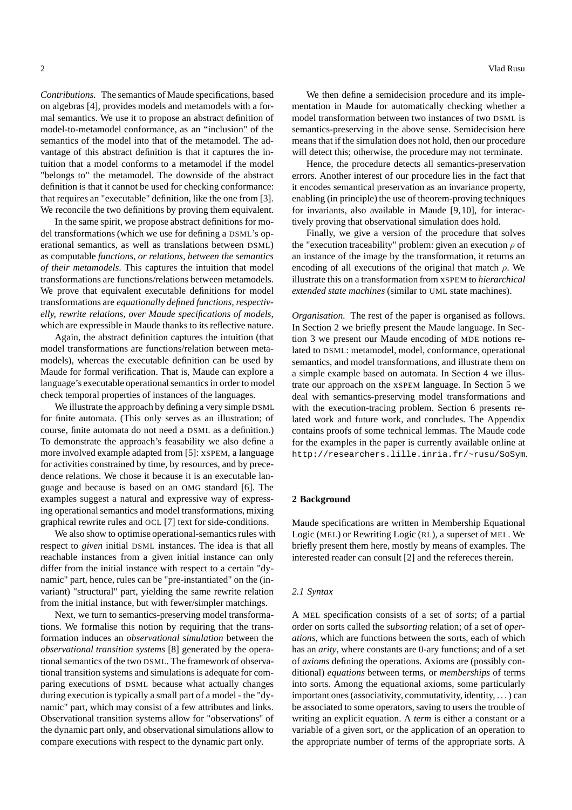*Contributions.* The semantics of Maude specifications, based on algebras [4], provides models and metamodels with a formal semantics. We use it to propose an abstract definition of model-to-metamodel conformance, as an "inclusion" of the semantics of the model into that of the metamodel. The advantage of this abstract definition is that it captures the intuition that a model conforms to a metamodel if the model "belongs to" the metamodel. The downside of the abstract definition is that it cannot be used for checking conformance: that requires an "executable" definition, like the one from [3]. We reconcile the two definitions by proving them equivalent.

In the same spirit, we propose abstract definitions for model transformations (which we use for defining a DSML's operational semantics, as well as translations between DSML) as computable *functions, or relations, between the semantics of their metamodels*. This captures the intuition that model transformations are functions/relations between metamodels. We prove that equivalent executable definitions for model transformations are *equationally defined functions, respectivelly, rewrite relations, over Maude specifications of models*, which are expressible in Maude thanks to its reflective nature.

Again, the abstract definition captures the intuition (that model transformations are functions/relation between metamodels), whereas the executable definition can be used by Maude for formal verification. That is, Maude can explore a language's executable operational semantics in order to model check temporal properties of instances of the languages.

We illustrate the approach by defining a very simple DSML for finite automata. (This only serves as an illustration; of course, finite automata do not need a DSML as a definition.) To demonstrate the approach's feasability we also define a more involved example adapted from [5]: xSPEM, a language for activities constrained by time, by resources, and by precedence relations. We chose it because it is an executable language and because is based on an OMG standard [6]. The examples suggest a natural and expressive way of expressing operational semantics and model transformations, mixing graphical rewrite rules and OCL [7] text for side-conditions.

We also show to optimise operational-semantics rules with respect to *given* initial DSML instances. The idea is that all reachable instances from a given initial instance can only differ from the initial instance with respect to a certain "dynamic" part, hence, rules can be "pre-instantiated" on the (invariant) "structural" part, yielding the same rewrite relation from the initial instance, but with fewer/simpler matchings.

Next, we turn to semantics-preserving model transformations. We formalise this notion by requiring that the transformation induces an *observational simulation* between the *observational transition systems* [8] generated by the operational semantics of the two DSML. The framework of observational transition systems and simulations is adequate for comparing executions of DSML because what actually changes during execution is typically a small part of a model - the "dynamic" part, which may consist of a few attributes and links. Observational transition systems allow for "observations" of the dynamic part only, and observational simulations allow to compare executions with respect to the dynamic part only.

We then define a semidecision procedure and its implementation in Maude for automatically checking whether a model transformation between two instances of two DSML is semantics-preserving in the above sense. Semidecision here means that if the simulation does not hold, then our procedure will detect this; otherwise, the procedure may not terminate.

Hence, the procedure detects all semantics-preservation errors. Another interest of our procedure lies in the fact that it encodes semantical preservation as an invariance property, enabling (in principle) the use of theorem-proving techniques for invariants, also available in Maude [9,10], for interactively proving that observational simulation does hold.

Finally, we give a version of the procedure that solves the "execution traceability" problem: given an execution  $\rho$  of an instance of the image by the transformation, it returns an encoding of all executions of the original that match  $\rho$ . We illustrate this on a transformation from xSPEM to *hierarchical extended state machines* (similar to UML state machines).

*Organisation.* The rest of the paper is organised as follows. In Section 2 we briefly present the Maude language. In Section 3 we present our Maude encoding of MDE notions related to DSML: metamodel, model, conformance, operational semantics, and model transformations, and illustrate them on a simple example based on automata. In Section 4 we illustrate our approach on the xSPEM language. In Section 5 we deal with semantics-preserving model transformations and with the execution-tracing problem. Section 6 presents related work and future work, and concludes. The Appendix contains proofs of some technical lemmas. The Maude code for the examples in the paper is currently available online at http://researchers.lille.inria.fr/~rusu/SoSym.

#### **2 Background**

Maude specifications are written in Membership Equational Logic (MEL) or Rewriting Logic (RL), a superset of MEL. We briefly present them here, mostly by means of examples. The interested reader can consult [2] and the refereces therein.

#### *2.1 Syntax*

A MEL specification consists of a set of *sorts*; of a partial order on sorts called the *subsorting* relation; of a set of *operations*, which are functions between the sorts, each of which has an *arity*, where constants are 0-ary functions; and of a set of *axioms* defining the operations. Axioms are (possibly conditional) *equations* between terms, or *memberships* of terms into sorts. Among the equational axioms, some particularly important ones (associativity, commutativity, identity, . . . ) can be associated to some operators, saving to users the trouble of writing an explicit equation. A *term* is either a constant or a variable of a given sort, or the application of an operation to the appropriate number of terms of the appropriate sorts. A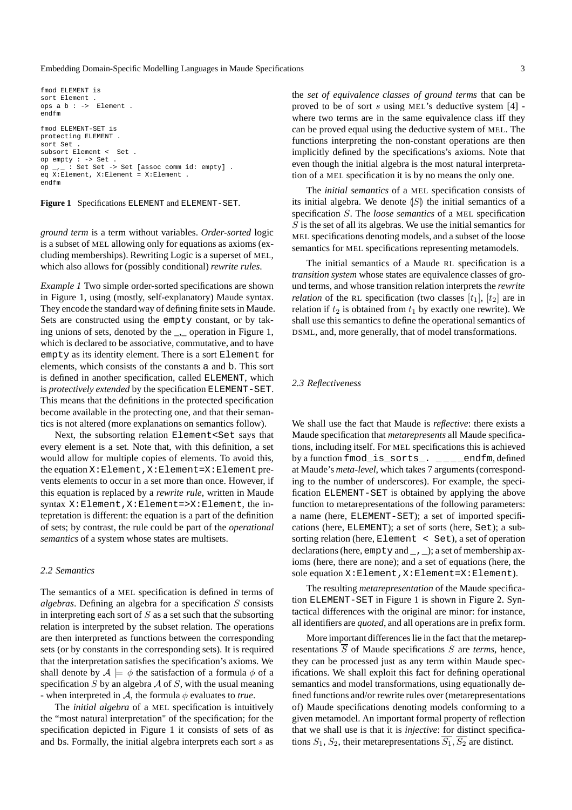```
fmod ELEMENT is
sort Element
pos a b : -& Element.
endfm
fmod ELEMENT-SET is
protecting ELEMENT .
sort Set .
subsort Element < Set .
op empty : -> Set .
op_{-1}: Set Set -> Set [assoc comm id: empty].
eq X:Element, X:Element = X:Element .
endfm
```
**Figure 1** Specifications ELEMENT and ELEMENT-SET.

*ground term* is a term without variables. *Order-sorted* logic is a subset of MEL allowing only for equations as axioms (excluding memberships). Rewriting Logic is a superset of MEL, which also allows for (possibly conditional) *rewrite rules*.

*Example 1* Two simple order-sorted specifications are shown in Figure 1, using (mostly, self-explanatory) Maude syntax. They encode the standard way of defining finite sets in Maude. Sets are constructed using the empty constant, or by taking unions of sets, denoted by the , operation in Figure 1, which is declared to be associative, commutative, and to have empty as its identity element. There is a sort Element for elements, which consists of the constants a and b. This sort is defined in another specification, called ELEMENT, which is *protectively extended* by the specification ELEMENT-SET. This means that the definitions in the protected specification become available in the protecting one, and that their semantics is not altered (more explanations on semantics follow).

Next, the subsorting relation Element<Set says that every element is a set. Note that, with this definition, a set would allow for multiple copies of elements. To avoid this, the equation X:Element,X:Element=X:Element prevents elements to occur in a set more than once. However, if this equation is replaced by a *rewrite rule*, written in Maude syntax X:Element,X:Element=>X:Element, the intepretation is different: the equation is a part of the definition of sets; by contrast, the rule could be part of the *operational semantics* of a system whose states are multisets.

#### *2.2 Semantics*

The semantics of a MEL specification is defined in terms of *algebras*. Defining an algebra for a specification S consists in interpreting each sort of  $S$  as a set such that the subsorting relation is interpreted by the subset relation. The operations are then interpreted as functions between the corresponding sets (or by constants in the corresponding sets). It is required that the interpretation satisfies the specification's axioms. We shall denote by  $A \models \phi$  the satisfaction of a formula  $\phi$  of a specification S by an algebra A of S, with the usual meaning - when interpreted in  $\mathcal{A}$ , the formula  $\phi$  evaluates to *true*.

The *initial algebra* of a MEL specification is intuitively the "most natural interpretation" of the specification; for the specification depicted in Figure 1 it consists of sets of as and bs. Formally, the initial algebra interprets each sort s as the *set of equivalence classes of ground terms* that can be proved to be of sort s using MEL's deductive system [4] where two terms are in the same equivalence class iff they can be proved equal using the deductive system of MEL. The functions interpreting the non-constant operations are then implicitly defined by the specifications's axioms. Note that even though the initial algebra is the most natural interpretation of a MEL specification it is by no means the only one.

The *initial semantics* of a MEL specification consists of its initial algebra. We denote  $|S|$  the initial semantics of a specification S. The *loose semantics* of a MEL specification  $S$  is the set of all its algebras. We use the initial semantics for MEL specifications denoting models, and a subset of the loose semantics for MEL specifications representing metamodels.

The initial semantics of a Maude RL specification is a *transition system* whose states are equivalence classes of ground terms, and whose transition relation interprets the *rewrite relation* of the RL specification (two classes  $[t_1]$ ,  $[t_2]$  are in relation if  $t_2$  is obtained from  $t_1$  by exactly one rewrite). We shall use this semantics to define the operational semantics of DSML, and, more generally, that of model transformations.

#### *2.3 Reflectiveness*

We shall use the fact that Maude is *reflective*: there exists a Maude specification that *metarepresents* all Maude specifications, including itself. For MEL specifications this is achieved by a function fmod\_is\_sorts\_. \_\_\_\_endfm, defined at Maude's *meta-level*, which takes 7 arguments (corresponding to the number of underscores). For example, the specification ELEMENT-SET is obtained by applying the above function to metarepresentations of the following parameters: a name (here, ELEMENT-SET); a set of imported specifications (here, ELEMENT); a set of sorts (here, Set); a subsorting relation (here, Element < Set), a set of operation declarations (here, empty and \_,\_); a set of membership axioms (here, there are none); and a set of equations (here, the sole equation  $X:Element, X:Element=X:Element.$ 

The resulting *metarepresentation* of the Maude specification ELEMENT-SET in Figure 1 is shown in Figure 2. Syntactical differences with the original are minor: for instance, all identifiers are *quoted*, and all operations are in prefix form.

More important differences lie in the fact that the metarepresentations  $\overline{S}$  of Maude specifications  $S$  are *terms*, hence, they can be processed just as any term within Maude specifications. We shall exploit this fact for defining operational semantics and model transformations, using equationally defined functions and/or rewrite rules over (metarepresentations of) Maude specifications denoting models conforming to a given metamodel. An important formal property of reflection that we shall use is that it is *injective*: for distinct specifications  $S_1$ ,  $S_2$ , their metarepresentations  $S_1$ ,  $S_2$  are distinct.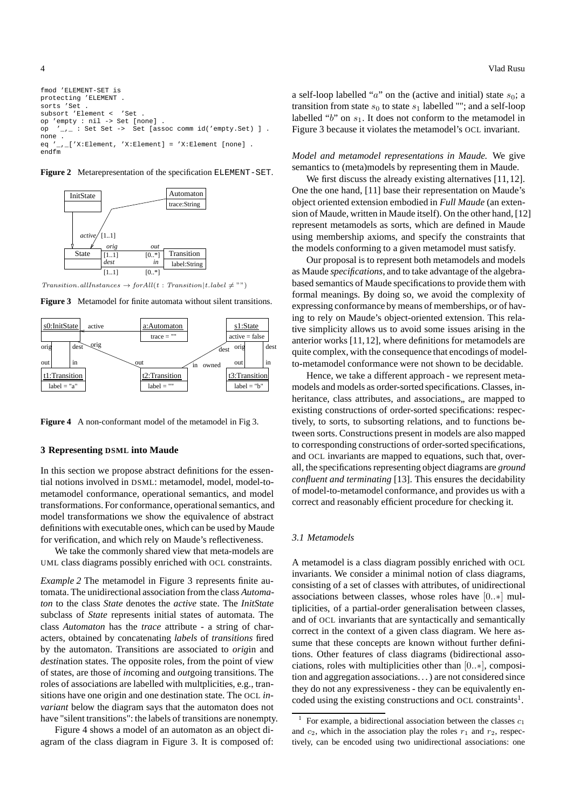fmod 'ELEMENT-SET is protecting 'ELEMENT . sorts 'Set . subsort 'Element < 'Set op 'empty : nil -> Set [none] . op '\_,\_ : Set Set -> Set [assoc comm id('empty.Set) ] . none . eq '\_,\_['X:Element, 'X:Element] = 'X:Element [none] . endfm

**Figure 2** Metarepresentation of the specification ELEMENT-SET.



 $Transition. all instances \rightarrow for All(t : Transition | t. label \neq \text{""})$ 

**Figure 3** Metamodel for finite automata without silent transitions.



**Figure 4** A non-conformant model of the metamodel in Fig 3.

#### **3 Representing DSML into Maude**

In this section we propose abstract definitions for the essential notions involved in DSML: metamodel, model, model-tometamodel conformance, operational semantics, and model transformations. For conformance, operational semantics, and model transformations we show the equivalence of abstract definitions with executable ones, which can be used by Maude for verification, and which rely on Maude's reflectiveness.

We take the commonly shared view that meta-models are UML class diagrams possibly enriched with OCL constraints.

*Example 2* The metamodel in Figure 3 represents finite automata. The unidirectional association from the class *Automaton* to the class *State* denotes the *active* state. The *InitState* subclass of *State* represents initial states of automata. The class *Automaton* has the *trace* attribute - a string of characters, obtained by concatenating *labels* of *transitions* fired by the automaton. Transitions are associated to *orig*in and *desti*nation states. The opposite roles, from the point of view of states, are those of *in*coming and *out*going transitions. The roles of associations are labelled with multplicities, e.g., transitions have one origin and one destination state. The OCL *invariant* below the diagram says that the automaton does not have "silent transitions": the labels of transitions are nonempty.

Figure 4 shows a model of an automaton as an object diagram of the class diagram in Figure 3. It is composed of: a self-loop labelled "a" on the (active and initial) state  $s_0$ ; a transition from state  $s_0$  to state  $s_1$  labelled ""; and a self-loop labelled " $b$ " on  $s_1$ . It does not conform to the metamodel in Figure 3 because it violates the metamodel's OCL invariant.

*Model and metamodel representations in Maude.* We give semantics to (meta)models by representing them in Maude.

We first discuss the already existing alternatives [11, 12]. One the one hand, [11] base their representation on Maude's object oriented extension embodied in *Full Maude* (an extension of Maude, written in Maude itself). On the other hand, [12] represent metamodels as sorts, which are defined in Maude using membership axioms, and specify the constraints that the models conforming to a given metamodel must satisfy.

Our proposal is to represent both metamodels and models as Maude *specifications*, and to take advantage of the algebrabased semantics of Maude specifications to provide them with formal meanings. By doing so, we avoid the complexity of expressing conformance by means of memberships, or of having to rely on Maude's object-oriented extension. This relative simplicity allows us to avoid some issues arising in the anterior works [11,12], where definitions for metamodels are quite complex, with the consequence that encodings of modelto-metamodel conformance were not shown to be decidable.

Hence, we take a different approach - we represent metamodels and models as order-sorted specifications. Classes, inheritance, class attributes, and associations, are mapped to existing constructions of order-sorted specifications: respectively, to sorts, to subsorting relations, and to functions between sorts. Constructions present in models are also mapped to corresponding constructions of order-sorted specifications, and OCL invariants are mapped to equations, such that, overall, the specifications representing object diagrams are *ground confluent and terminating* [13]. This ensures the decidability of model-to-metamodel conformance, and provides us with a correct and reasonably efficient procedure for checking it.

#### *3.1 Metamodels*

A metamodel is a class diagram possibly enriched with OCL invariants. We consider a minimal notion of class diagrams, consisting of a set of classes with attributes, of unidirectional associations between classes, whose roles have [0..∗] multiplicities, of a partial-order generalisation between classes, and of OCL invariants that are syntactically and semantically correct in the context of a given class diagram. We here assume that these concepts are known without further definitions. Other features of class diagrams (bidirectional associations, roles with multiplicities other than [0..∗], composition and aggregation associations. . . ) are not considered since they do not any expressiveness - they can be equivalently encoded using the existing constructions and OCL constraints<sup>1</sup>.

<sup>1</sup> For example, a bidirectional association between the classes  $c_1$ and  $c_2$ , which in the association play the roles  $r_1$  and  $r_2$ , respectively, can be encoded using two unidirectional associations: one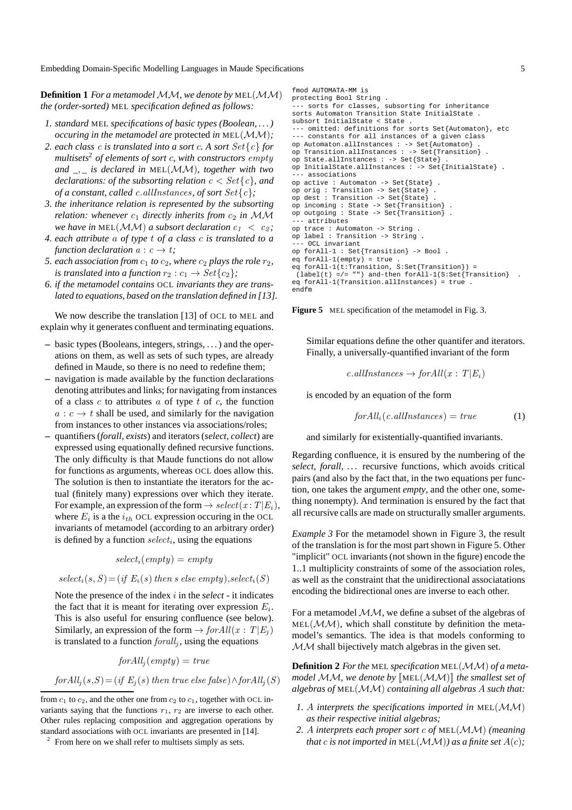**Definition 1** *For a metamodel MM*, we denote by MEL(MM) *the (order-sorted)* MEL *specification defined as follows:*

- *1. standard* MEL *specifications of basic types (Boolean, . . . ) occuring in the metamodel are* protected *in* MEL(MM)*;*
- *2. each class* c *is translated into a sort* c*. A sort* Set{c} *for multisets*<sup>2</sup> *of elements of sort* c*, with constructors* empty *and \_*, *\_ is declared in* MEL(MM)*, together with two declarations: of the subsorting relation*  $c < Set{c}$ , and *of a constant, called* c.allInstances*, of sort* Set{c}*;*
- *3. the inheritance relation is represented by the subsorting relation: whenever*  $c_1$  *directly inherits from*  $c_2$  *in* MM *we have in* MEL( $MM$ ) *a subsort declaration*  $c_1 < c_2$ ;
- *4. each attribute* a *of type* t *of a class* c *is translated to a function declaration*  $a : c \rightarrow t$ *;*
- *5. each association from*  $c_1$  *to*  $c_2$ *, where*  $c_2$  *plays the role*  $r_2$ *, is translated into a function*  $r_2$  :  $c_1 \rightarrow Set\{c_2\}$ ;
- *6. if the metamodel contains* OCL *invariants they are translated to equations, based on the translation defined in [13].*

We now describe the translation [13] of OCL to MEL and explain why it generates confluent and terminating equations.

- **–** basic types (Booleans, integers, strings, . . . ) and the operations on them, as well as sets of such types, are already defined in Maude, so there is no need to redefine them;
- **–** navigation is made available by the function declarations denoting attributes and links; for navigating from instances of a class c to attributes a of type t of c, the function  $a: c \rightarrow t$  shall be used, and similarly for the navigation from instances to other instances via associations/roles;
- **–** quantifiers (*forall, exists*) and iterators (*select, collect*) are expressed using equationally defined recursive functions. The only difficulty is that Maude functions do not allow for functions as arguments, whereas OCL does allow this. The solution is then to instantiate the iterators for the actual (finitely many) expressions over which they iterate. For example, an expression of the form  $\rightarrow select(x: T|E_i)$ , where  $E_i$  is a the  $i_{th}$  OCL expression occuring in the OCL invariants of metamodel (according to an arbitrary order) is defined by a function  $select_i$ , using the equations

$$
select_i(empty) = empty
$$

$$
select_i(s, S) = (if E_i(s) then s else empty), select_i(S)
$$

Note the presence of the index i in the *select* - it indicates the fact that it is meant for iterating over expression  $E_i$ . This is also useful for ensuring confluence (see below). Similarly, an expression of the form  $\rightarrow$  for All $(x : T | E_i)$ is translated to a function  $\text{for all }_j$ , using the equations

$$
for All_j(empty) = true
$$

$$
for All_j(s, S) = (if E_j(s) then true else false) \land for All_j(S)
$$

```
fmod AUTOMATA-MM is
protecting Bool String .
--- sorts for classes, subsorting for inheritance
sorts Automaton Transition State InitialState .
subsort InitialState < State .
--- omitted: definitions for sorts Set{Automaton}, etc
--- constants for all instances of a given class
op Automaton.allInstances : -> Set{Automaton} .
op Transition.allInstances : -> Set{Transition} .
op State.allInstances : -> Set{State} .
op InitialState.allInstances : -> Set{InitialState} .
   associations
op active : Automaton -> Set{State} .
op orig : Transition -> Set{State} .
op dest : Transition -> Set{State} .
op incoming : State -> Set{Transition} .
op outgoing : State -> Set{Transition} .
   attributes
op trace : Automaton -> String .
op label : Transition -> String .
--- OCL invariant
op forAll-1 : Set{Transition} -> Bool .
eg forAll-1(empty) = true
eq forAll-1(t:Transition, S:Set{Transition}) =
 (label(t) =/= "") and-then for All-1(S:Set{Transition}.
eq forAll-1(Transition.allInstances) = true .
endfm
```


Similar equations define the other quantifer and iterators. Finally, a universally-quantified invariant of the form

c.allInstances  $\rightarrow$  for All $(x: T | E_i)$ 

is encoded by an equation of the form

$$
for All_i(c. all instances) = true \tag{1}
$$

and similarly for existentially-quantified invariants.

Regarding confluence, it is ensured by the numbering of the *select, forall, . . .* recursive functions, which avoids critical pairs (and also by the fact that, in the two equations per function, one takes the argument *empty*, and the other one, something nonempty). And termination is ensured by the fact that all recursive calls are made on structurally smaller arguments.

*Example 3* For the metamodel shown in Figure 3, the result of the translation is for the most part shown in Figure 5. Other "implicit" OCL invariants (not shown in the figure) encode the 1..1 multiplicity constraints of some of the association roles, as well as the constraint that the unidirectional associatations encoding the bidirectional ones are inverse to each other.

For a metamodel  $MM$ , we define a subset of the algebras of  $MEL(MM)$ , which shall constitute by definition the metamodel's semantics. The idea is that models conforming to  $M<sub>M</sub>$  shall bijectively match algebras in the given set.

**Definition 2** *For the* MEL *specification* MEL(MM) *of a metamodel* MM, we denote by  $[\text{MEL}(\text{MM})]$  the smallest set of *algebras of* MEL(MM) *containing all algebras* A *such that:*

- *1.* A *interprets the specifications imported in* MEL(MM) *as their respective initial algebras;*
- *2.* A *interprets each proper sort* c *of* MEL(MM) *(meaning that* c is not imported in MEL( $\mathcal{M}\mathcal{M}$ )) as a finite set  $A(c)$ ;

from  $c_1$  to  $c_2$ , and the other one from  $c_2$  to  $c_1$ , together with OCL invariants saying that the functions  $r_1$ ,  $r_2$  are inverse to each other. Other rules replacing composition and aggregation operations by standard associations with OCL invariants are presented in [14].

<sup>2</sup> From here on we shall refer to multisets simply as sets.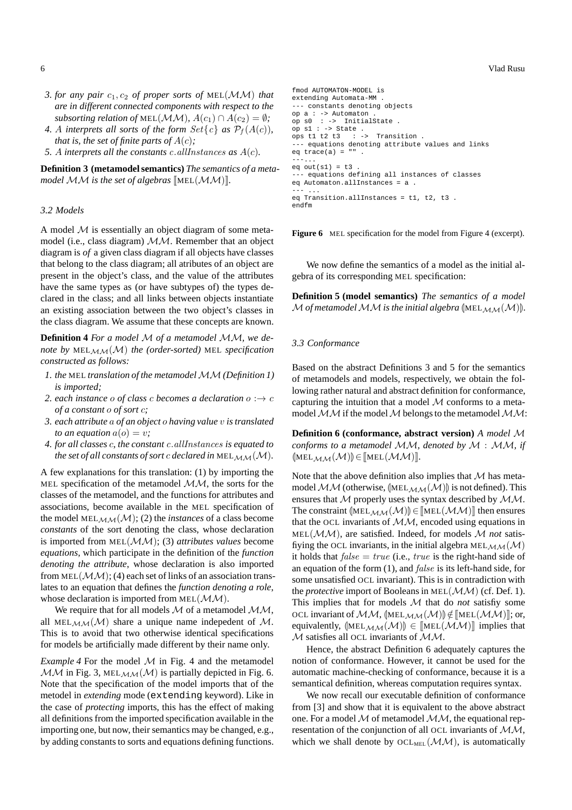- *3. for any pair* c1, c<sup>2</sup> *of proper sorts of* MEL(MM) *that are in different connected components with respect to the subsorting relation of* MEL( $\mathcal{M}\mathcal{M}$ ),  $A(c_1) \cap A(c_2) = \emptyset$ ;
- 4. A interprets all sorts of the form  $Set{c}$  as  $P_f(A(c))$ , *that is, the set of finite parts of*  $A(c)$ *;*
- *5.* A *interprets all the constants* c.allInstances *as* A(c)*.*

**Definition 3 (metamodel semantics)** *The semantics of a metamodel*  $MM$  *is the set of algebras*  $[MEL(MM)]$ *.* 

#### *3.2 Models*

A model  $M$  is essentially an object diagram of some metamodel (i.e., class diagram)  $MM$ . Remember that an object diagram is *of* a given class diagram if all objects have classes that belong to the class diagram; all atributes of an object are present in the object's class, and the value of the attributes have the same types as (or have subtypes of) the types declared in the class; and all links between objects instantiate an existing association between the two object's classes in the class diagram. We assume that these concepts are known.

**Definition 4** *For a model* M *of a metamodel* MM*, we denote by*  $MEL_{MM}(M)$  *the (order-sorted)*  $MEL$  *specification constructed as follows:*

- *1. the* MEL *translation of the metamodel MM* (Definition 1) *is imported;*
- 2. each instance o of class c becomes a declaration  $o : \rightarrow c$ *of a constant* o *of sort* c*;*
- *3. each attribute* a *of an object* o *having value* v *is translated to an equation*  $a(o) = v$ ;
- *4. for all classes* c*, the constant* c.allInstances *is equated to the set of all constants of sort c declared in* MEL<sub>MM</sub> $(M)$ *.*

A few explanations for this translation: (1) by importing the MEL specification of the metamodel  $MM$ , the sorts for the classes of the metamodel, and the functions for attributes and associations, become available in the MEL specification of the model MEL<sub>MM</sub> $(M)$ ; (2) the *instances* of a class become *constants* of the sort denoting the class, whose declaration is imported from MEL(MM); (3) *attributes values* become *equations*, which participate in the definition of the *function denoting the attribute*, whose declaration is also imported from MEL $(\mathcal{M}M)$ ; (4) each set of links of an association translates to an equation that defines the *function denoting a role*, whose declaration is imported from  $MEL(M,M)$ .

We require that for all models  $M$  of a metamodel  $M,M$ , all MEL $_{\mathcal{M}\mathcal{M}}(\mathcal{M})$  share a unique name indepedent of M. This is to avoid that two otherwise identical specifications for models be artificially made different by their name only.

*Example 4* For the model  $M$  in Fig. 4 and the metamodel  $MM$  in Fig. 3, MEL $_{MM}(M)$  is partially depicted in Fig. 6. Note that the specification of the model imports that of the metodel in *extending* mode (extending keyword). Like in the case of *protecting* imports, this has the effect of making all definitions from the imported specification available in the importing one, but now, their semantics may be changed, e.g., by adding constants to sorts and equations defining functions.

```
fmod AUTOMATON-MODEL is
extending Automata-MM .
--- constants denoting objects
op a : -> Automaton .
op s0 : -> InitialState .
op s1 : -> State .
ops t1 t2 t3 : -> Transition .
--- equations denoting attribute values and links
eq trace(a) = "".
---...
eq out(s1) = t3--- equations defining all instances of classes
eq Automaton.allInstances = a .
--- ...
eq Transition.allInstances = t1, t2, t3 .
endfm
```
**Figure 6** MEL specification for the model from Figure 4 (excerpt).

We now define the semantics of a model as the initial algebra of its corresponding MEL specification:

**Definition 5 (model semantics)** *The semantics of a model* M of metamodel MM is the initial algebra  $[MEL<sub>MM</sub>(M)]$ .

#### *3.3 Conformance*

Based on the abstract Definitions 3 and 5 for the semantics of metamodels and models, respectively, we obtain the following rather natural and abstract definition for conformance, capturing the intuition that a model  $M$  conforms to a metamodel  $MM$  if the model M belongs to the metamodel  $MM$ :

**Definition 6 (conformance, abstract version)** *A model* M *conforms to a metamodel* MM*, denoted by* M : MM*, if*  $(\text{MEL}_{\mathcal{MM}}(\mathcal{M})) \in [\text{MEL}(\mathcal{MM})].$ 

Note that the above definition also implies that  $M$  has metamodel MM (otherwise,  $[MEL<sub>MM</sub>(M)]$ ) is not defined). This ensures that M properly uses the syntax described by MM. The constraint  $[MEL_{MM}(M)] \in [MEL(MM)]$  then ensures that the OCL invariants of  $MM$ , encoded using equations in MEL(MM), are satisfied. Indeed, for models M *not* satisfiying the OCL invariants, in the initial algebra  $MEL_{MM}(M)$ it holds that  $false = true$  (i.e.,  $true$  is the right-hand side of an equation of the form (1), and false is its left-hand side, for some unsatisfied OCL invariant). This is in contradiction with the *protective* import of Booleans in MEL(MM) (cf. Def. 1). This implies that for models M that do *not* satisfiy some OCL invariant of  $M,M$ , (MEL $_{MM}(M)$ )  $\notin$  [MEL $(\mathcal{M}\mathcal{M})$ ]; or, equivalently,  $[MEL_{MM}(M)] \in [MEL(\mathcal{MM})]$  implies that  $M$  satisfies all OCL invariants of  $MM$ .

Hence, the abstract Definition 6 adequately captures the notion of conformance. However, it cannot be used for the automatic machine-checking of conformance, because it is a semantical definition, whereas computation requires syntax.

We now recall our executable definition of conformance from [3] and show that it is equivalent to the above abstract one. For a model  $M$  of metamodel  $MM$ , the equational representation of the conjunction of all OCL invariants of MM, which we shall denote by  $OCL<sub>MEL</sub>( $\mathcal{MM}$ ), is automatically$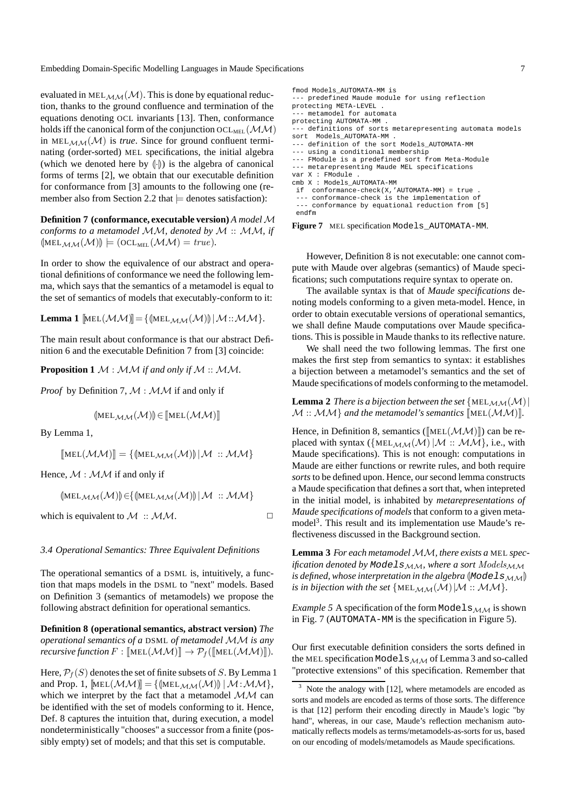evaluated in MEL $_{\mathcal{M}\mathcal{M}}(\mathcal{M})$ . This is done by equational reduction, thanks to the ground confluence and termination of the equations denoting OCL invariants [13]. Then, conformance holds iff the canonical form of the conjunction  $OCL_{MEL}(\mathcal{MM})$ in MEL $_{\mathcal{MM}}(\mathcal{M})$  is *true*. Since for ground confluent terminating (order-sorted) MEL specifications, the initial algebra (which we denoted here by  $(\cdot)$ ) is the algebra of canonical forms of terms [2], we obtain that our executable definition for conformance from [3] amounts to the following one (remember also from Section 2.2 that  $\models$  denotes satisfaction):

**Definition 7 (conformance, executable version)** *A model*  $M$ *conforms to a metamodel* MM*, denoted by* M :: MM*, if*  $[MEL_{\mathcal{MM}}(\mathcal{M})] \models (OCL_{MEL}(\mathcal{MM}) = true).$ 

In order to show the equivalence of our abstract and operational definitions of conformance we need the following lemma, which says that the semantics of a metamodel is equal to the set of semantics of models that executably-conform to it:

**Lemma 1**  $[\text{MEL}(\mathcal{MM})]=\{(\text{MEL}_{\mathcal{MM}}(\mathcal{M}))|\mathcal{M}:\mathcal{MM}\}.$ 

The main result about conformance is that our abstract Definition 6 and the executable Definition 7 from [3] coincide:

**Proposition 1** M : MM *if and only if* M :: MM*.*

*Proof* by Definition 7,  $M : MM$  if and only if

$$
(\!\!|\mathsf{MEL}_{\mathcal{MM}}(\mathcal{M})\!|\!|)\!\!|\in[\![\mathsf{MEL}(\mathcal{MM})]\!]
$$

By Lemma 1,

 $[\text{MEL}(\mathcal{M}\mathcal{M})] = \{(\text{MEL}_{\mathcal{M}\mathcal{M}}(\mathcal{M}))|\mathcal{M}::\mathcal{M}\mathcal{M}\}$ 

Hence,  $M : M \mathcal{M}$  if and only if

$$
\langle\!\!\!\langle\text{MEL}_{\mathcal{MM}}(\mathcal{M})\rangle\!\!\!\rangle\!\rangle\!\in\!\!\{\langle\text{MEL}_{\mathcal{MM}}(\mathcal{M})\rangle\!\!\!\rangle\,|\mathcal{M}\ ::\mathcal{MM}\}
$$

which is equivalent to  $M : MM$ .

*3.4 Operational Semantics: Three Equivalent Definitions*

The operational semantics of a DSML is, intuitively, a function that maps models in the DSML to "next" models. Based on Definition 3 (semantics of metamodels) we propose the following abstract definition for operational semantics.

**Definition 8 (operational semantics, abstract version)** *The operational semantics of a* DSML *of metamodel* MM *is any recursive function*  $F : [\![\text{MEL}(\mathcal{M}\mathcal{M})\!] \rightarrow \mathcal{P}_f([\![\text{MEL}(\mathcal{M}\mathcal{M})\!])$ *.* 

Here,  $\mathcal{P}_f(S)$  denotes the set of finite subsets of S. By Lemma 1 and Prop. 1,  $[\text{MEL}(\mathcal{M}\mathcal{M})] = \{(\text{MEL}_{\mathcal{M}\mathcal{M}}(\mathcal{M})) | \mathcal{M}: \mathcal{M}\mathcal{M}\},$ which we interpret by the fact that a metamodel  $\mathcal{MM}$  can be identified with the set of models conforming to it. Hence, Def. 8 captures the intuition that, during execution, a model nondeterministically "chooses" a successor from a finite (possibly empty) set of models; and that this set is computable.

| fmod Models AUTOMATA-MM is<br>--- predefined Maude module for using reflection<br>protecting META-LEVEL . |
|-----------------------------------------------------------------------------------------------------------|
| --- metamodel for automata                                                                                |
| protecting AUTOMATA-MM .                                                                                  |
| --- definitions of sorts metarepresenting automata models                                                 |
| sort Models AUTOMATA-MM .                                                                                 |
| --- definition of the sort Models AUTOMATA-MM                                                             |
| --- using a conditional membership                                                                        |
| --- FModule is a predefined sort from Meta-Module                                                         |
| --- metarepresenting Maude MEL specifications                                                             |
| var X : FModule.                                                                                          |
| cmb X : Models AUTOMATA-MM                                                                                |
| if $conformance-check(X, 'AUTOMATA-MM) = true$ .                                                          |
| --- conformance-check is the implementation of                                                            |
| --- conformance by equational reduction from [5]                                                          |
| endfm                                                                                                     |

**Figure 7** MEL specification Models\_AUTOMATA-MM.

However, Definition 8 is not executable: one cannot compute with Maude over algebras (semantics) of Maude specifications; such computations require syntax to operate on.

The available syntax is that of *Maude specifications* denoting models conforming to a given meta-model. Hence, in order to obtain executable versions of operational semantics, we shall define Maude computations over Maude specifications. This is possible in Maude thanks to its reflective nature.

We shall need the two following lemmas. The first one makes the first step from semantics to syntax: it establishes a bijection between a metamodel's semantics and the set of Maude specifications of models conforming to the metamodel.

**Lemma 2** *There is a bijection between the set* {MEL<sub>MM</sub> $(M)$ }  $\mathcal{M}$  ::  $\mathcal{M}\mathcal{M}$  *and the metamodel's semantics* [MEL( $\mathcal{M}\mathcal{M}$ )]*.* 

Hence, in Definition 8, semantics ( $[\text{MEL}(\mathcal{M}\mathcal{M})]$ ) can be replaced with syntax ( $\{MEL_{\mathcal{MM}}(\mathcal{M})|\mathcal{M}::\mathcal{MM}\}$ , i.e., with Maude specifications). This is not enough: computations in Maude are either functions or rewrite rules, and both require *sorts* to be defined upon. Hence, our second lemma constructs a Maude specification that defines a sort that, when intepreted in the initial model, is inhabited by *metarepresentations of Maude specifications of models* that conform to a given metamodel<sup>3</sup>. This result and its implementation use Maude's reflectiveness discussed in the Background section.

Lemma 3 *For each metamodel MM*, there exists a MEL spec*ification denoted by* Mode  $ls_{MM}$ , where a sort  $Models_{MM}$ *is defined, whose interpretation in the algebra*  $(Models_{MM}$ *is in bijection with the set*  $\{MEL_{MM}(M) | M: M \}$ .

*Example 5* A specification of the form Models $_{\mathcal{M}\mathcal{M}}$  is shown in Fig. 7 (AUTOMATA-MM is the specification in Figure 5).

Our first executable definition considers the sorts defined in the MEL specification Models $_{M,M}$  of Lemma 3 and so-called "protective extensions" of this specification. Remember that

 $3$  Note the analogy with [12], where metamodels are encoded as sorts and models are encoded as terms of those sorts. The difference is that [12] perform their encoding directly in Maude's logic "by hand", whereas, in our case, Maude's reflection mechanism automatically reflects models as terms/metamodels-as-sorts for us, based on our encoding of models/metamodels as Maude specifications.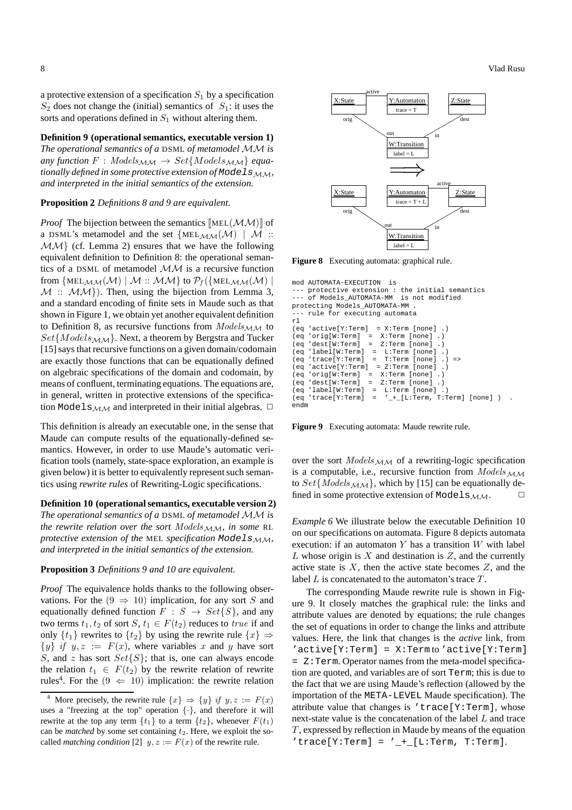a protective extension of a specification  $S_1$  by a specification  $S_2$  does not change the (initial) semantics of  $S_1$ : it uses the sorts and operations defined in  $S_1$  without altering them.

### **Definition 9 (operational semantics, executable version 1)**

*The operational semantics of a* DSML *of metamodel* MM *is*  $any function F: Models_{M,M} \rightarrow Set{Models_{M,M}}$  *equationally defined in some protective extension of ModelsMM*, *and interpreted in the initial semantics of the extension.*

#### **Proposition 2** *Definitions 8 and 9 are equivalent.*

*Proof* The bijection between the semantics  $[\text{MEL}(\mathcal{M}\mathcal{M})]$  of a DSML's metamodel and the set  $\{MEL_{MM}(M) \mid M : :$  $MM$  (cf. Lemma 2) ensures that we have the following equivalent definition to Definition 8: the operational semantics of a DSML of metamodel MM is a recursive function from  $\{MEL_{MM}(M) | M : : MM\}$  to  $\mathcal{P}_f(\{MEL_{MM}(M) |$  $M$  ::  $MM$ }). Then, using the bijection from Lemma 3, and a standard encoding of finite sets in Maude such as that shown in Figure 1, we obtain yet another equivalent definition to Definition 8, as recursive functions from  $Models_{MM}$  to  $Set{Models_{MM}}$ . Next, a theorem by Bergstra and Tucker [15] says that recursive functions on a given domain/codomain are exactly those functions that can be equationally defined on algebraic specifications of the domain and codomain, by means of confluent, terminating equations. The equations are, in general, written in protective extensions of the specification Models $_{\mathcal{M}\mathcal{M}}$  and interpreted in their initial algebras.  $\Box$ 

This definition is already an executable one, in the sense that Maude can compute results of the equationally-defined semantics. However, in order to use Maude's automatic verification tools (namely, state-space exploration, an example is given below) it is better to equivalently represent such semantics using *rewrite rules* of Rewriting-Logic specifications.

#### **Definition 10 (operational semantics, executable version 2)**

*The operational semantics of a* DSML *of metamodel* MM *is the rewrite relation over the sort Models*  $M<sub>M</sub>$ *, in some* RL *protective extension of the MEL specification Models<sub>MM</sub>*, *and interpreted in the initial semantics of the extension.*

#### **Proposition 3** *Definitions 9 and 10 are equivalent.*

*Proof* The equivalence holds thanks to the following observations. For the  $(9 \Rightarrow 10)$  implication, for any sort S and equationally defined function  $F : S \rightarrow Set\{S\}$ , and any two terms  $t_1, t_2$  of sort  $S, t_1 \in F(t_2)$  reduces to true if and only  $\{t_1\}$  rewrites to  $\{t_2\}$  by using the rewrite rule  $\{x\} \Rightarrow$  $\{y\}$  if  $y, z := F(x)$ , where variables x and y have sort S, and z has sort  $Set\{S\}$ ; that is, one can always encode the relation  $t_1 \in F(t_2)$  by the rewrite relation of rewrite rules<sup>4</sup>. For the  $(9 \Leftarrow 10)$  implication: the rewrite relation



**Figure 8** Executing automata: graphical rule.

```
mod AUTOMATA-EXECUTION is
--- protective extension : the initial semantics<br>--- of Models AUTOMATA-MM, is not modified
      -<br>of Models AUTOMATA-MM is not modified
protecting Models_AUTOMATA-MM .
      rule for executing automata
rl<br>(eq
       (active[Y:Term] = X:Term [none] .)<br>'orig[W:Term] = X:Term [none] .)
(eq 'orig[W:Term]<br>(eq 'dest[W:Term]
       'dest[W:Term] = Z:Term [none] .)
(eq 'label[W:erm] = L:Term [none] .)<br>(eq 'trace[Y:Term] = T:Term [none] .)(eq 'trace[Y:Term] = T:Term [none] .) =><br>(eq 'active[Y:Term] = Z:Term [none] .)(eq 'active[Y:Term] = Z:Term [none] .)<br>(eq 'orig[W:Term] = X:Term [none] .)
(eq 'orig[W:Term] = X:Term [none] .)<br>(eq 'dest[W:Term] = Z:Term [none] .)(eq 'dest[W:Term] = Z:Term [none] .)
(eq 'label[W:Term] = L:Term [none] .)
(eq 'trace[Y:Term] = '_+_[L:Term, T:Term] [none] ) .
endm
```
**Figure 9** Executing automata: Maude rewrite rule.

over the sort  $Models_{MM}$  of a rewriting-logic specification is a computable, i.e., recursive function from  $Models_{MM}$ to  $Set{Models_{MM}}$ , which by [15] can be equationally defined in some protective extension of Models $_{\mathcal{MM}}$ .

*Example 6* We illustrate below the executable Definition 10 on our specifications on automata. Figure 8 depicts automata execution: if an automaton  $Y$  has a transition  $W$  with label L whose origin is  $X$  and destination is  $Z$ , and the currently active state is  $X$ , then the active state becomes  $Z$ , and the label  $L$  is concatenated to the automaton's trace  $T$ .

The corresponding Maude rewrite rule is shown in Figure 9. It closely matches the graphical rule: the links and attribute values are denoted by equations; the rule changes the set of equations in order to change the links and attribute values. Here, the link that changes is the *active* link, from  $'active[Y:Term] = X:Term$  /  $active[Y:Term]$ = Z:Term. Operator names from the meta-model specification are quoted, and variables are of sort Term; this is due to the fact that we are using Maude's reflection (allowed by the importation of the META-LEVEL Maude specification). The attribute value that changes is 'trace[Y:Term], whose next-state value is the concatenation of the label L and trace  $T$ , expressed by reflection in Maude by means of the equation 'trace[Y:Term] =  $'$  -+ [L:Term, T:Term].

More precisely, the rewrite rule  $\{x\} \Rightarrow \{y\}$  if  $y, z := F(x)$ uses a "freezing at the top" operation  $\{\cdot\}$ , and therefore it will rewrite at the top any term  $\{t_1\}$  to a term  $\{t_2\}$ , whenever  $F(t_1)$ can be *matched* by some set containing  $t_2$ . Here, we exploit the socalled *matching condition* [2]  $y, z := F(x)$  of the rewrite rule.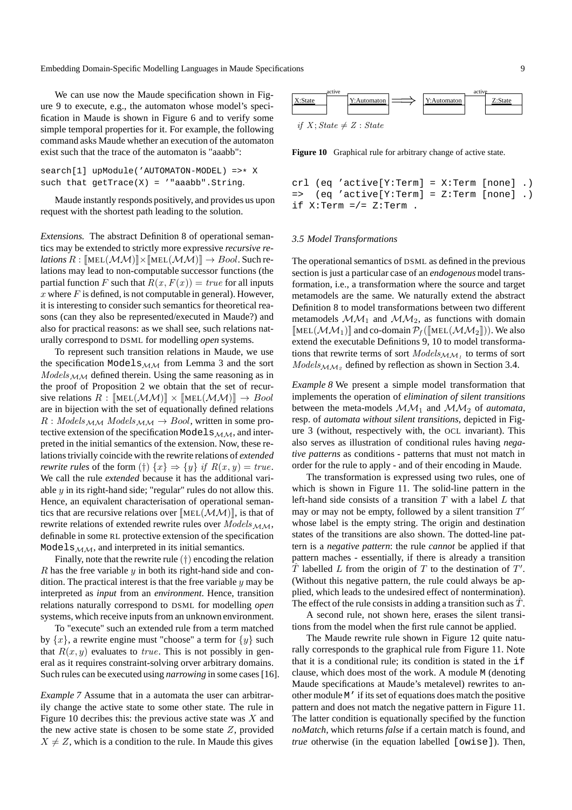We can use now the Maude specification shown in Figure 9 to execute, e.g., the automaton whose model's specification in Maude is shown in Figure 6 and to verify some simple temporal properties for it. For example, the following command asks Maude whether an execution of the automaton exist such that the trace of the automaton is "aaabb":

```
search[1] upModule('AUTOMATON-MODEL) =>* X
such that getTrace(X) = '"aaabb". String.
```
Maude instantly responds positively, and provides us upon request with the shortest path leading to the solution.

*Extensions.* The abstract Definition 8 of operational semantics may be extended to strictly more expressive *recursive relations*  $R : \llbracket \text{MEL}(\mathcal{M}\mathcal{M}) \rrbracket \times \llbracket \text{MEL}(\mathcal{M}\mathcal{M}) \rrbracket \to \text{Bool}$ . Such relations may lead to non-computable successor functions (the partial function F such that  $R(x, F(x)) = true$  for all inputs x where  $F$  is defined, is not computable in general). However, it is interesting to consider such semantics for theoretical reasons (can they also be represented/executed in Maude?) and also for practical reasons: as we shall see, such relations naturally correspond to DSML for modelling *open* systems.

To represent such transition relations in Maude, we use the specification Models $_{MM}$  from Lemma 3 and the sort  $Models_{MM}$  defined therein. Using the same reasoning as in the proof of Proposition 2 we obtain that the set of recursive relations  $R : [\text{MEL}(\mathcal{M}\mathcal{M})] \times [\text{MEL}(\mathcal{M}\mathcal{M})] \rightarrow Bool$ are in bijection with the set of equationally defined relations  $R: Models_{\text{M-M}}{}$  Models $_{\text{M-M}}$   $\rightarrow$  Bool, written in some protective extension of the specification Models $_{\mathcal{M}\mathcal{M}}$ , and interpreted in the initial semantics of the extension. Now, these relations trivially coincide with the rewrite relations of *extended rewrite rules* of the form  $(\dagger)$   $\{x\} \Rightarrow \{y\}$  *if*  $R(x, y) = true$ . We call the rule *extended* because it has the additional variable y in its right-hand side; "regular" rules do not allow this. Hence, an equivalent characterisation of operational semantics that are recursive relations over  $[MEL(\mathcal{M}\mathcal{M})]$ , is that of rewrite relations of extended rewrite rules over  $Models_{MM}$ , definable in some RL protective extension of the specification Models $_{M,M}$ , and interpreted in its initial semantics.

Finally, note that the rewrite rule  $(\dagger)$  encoding the relation  $R$  has the free variable  $y$  in both its right-hand side and condition. The practical interest is that the free variable  $y$  may be interpreted as *input* from an *environment*. Hence, transition relations naturally correspond to DSML for modelling *open* systems, which receive inputs from an unknown environment.

To "execute" such an extended rule from a term matched by  $\{x\}$ , a rewrite engine must "choose" a term for  $\{y\}$  such that  $R(x, y)$  evaluates to *true*. This is not possibly in general as it requires constraint-solving orver arbitrary domains. Such rules can be executed using *narrowing* in some cases [16].

*Example 7* Assume that in a automata the user can arbitrarily change the active state to some other state. The rule in Figure 10 decribes this: the previous active state was  $X$  and the new active state is chosen to be some state  $Z$ , provided  $X \neq Z$ , which is a condition to the rule. In Maude this gives



**Figure 10** Graphical rule for arbitrary change of active state.

```
crl (eq 'active[Y:Term] = X:Term [none] .)
= (eq 'active[Y:Term] = Z:Term [none] .)
if X:Term = / = Z:Term.
```
#### *3.5 Model Transformations*

The operational semantics of DSML as defined in the previous section is just a particular case of an *endogenous* model transformation, i.e., a transformation where the source and target metamodels are the same. We naturally extend the abstract Definition 8 to model transformations between two different metamodels  $MM_1$  and  $MM_2$ , as functions with domain  $\llbracket \text{MEL}(\mathcal{M}\mathcal{M}_1) \rrbracket$  and co-domain  $\mathcal{P}_f(\llbracket \text{MEL}(\mathcal{M}\mathcal{M}_2 \rrbracket))$ . We also extend the executable Definitions 9, 10 to model transformations that rewrite terms of sort  $\textit{Models}_{\mathcal{M} \mathcal{M}_1}$  to terms of sort  $Models_{\text{MM}_2}$  defined by reflection as shown in Section 3.4.

*Example 8* We present a simple model transformation that implements the operation of *elimination of silent transitions* between the meta-models  $MM_1$  and  $MM_2$  of *automata*, resp. of *automata without silent transitions*, depicted in Figure 3 (without, respectively with, the OCL invariant). This also serves as illustration of conditional rules having *negative patterns* as conditions - patterns that must not match in order for the rule to apply - and of their encoding in Maude.

The transformation is expressed using two rules, one of which is shown in Figure 11. The solid-line pattern in the left-hand side consists of a transition  $T$  with a label  $L$  that may or may not be empty, followed by a silent transition  $T'$ whose label is the empty string. The origin and destination states of the transitions are also shown. The dotted-line pattern is a *negative pattern*: the rule *cannot* be applied if that pattern maches - essentially, if there is already a transition  $\hat{T}$  labelled L from the origin of T to the destination of T'. (Without this negative pattern, the rule could always be applied, which leads to the undesired effect of nontermination). The effect of the rule consists in adding a transition such as  $\tilde{T}$ .

A second rule, not shown here, erases the silent transitions from the model when the first rule cannot be applied.

The Maude rewrite rule shown in Figure 12 quite naturally corresponds to the graphical rule from Figure 11. Note that it is a conditional rule; its condition is stated in the if clause, which does most of the work. A module M (denoting Maude specifications at Maude's metalevel) rewrites to another module M' if its set of equations does match the positive pattern and does not match the negative pattern in Figure 11. The latter condition is equationally specified by the function *noMatch*, which returns *false* if a certain match is found, and *true* otherwise (in the equation labelled [owise]). Then,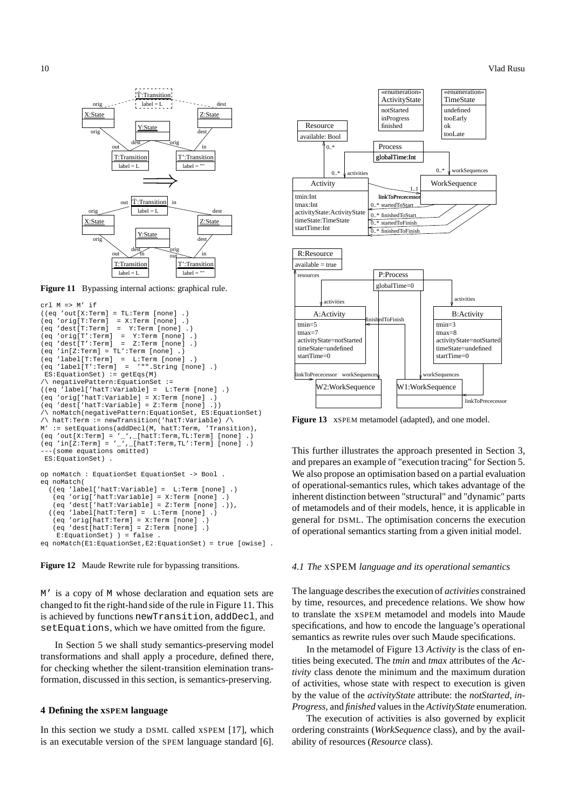

Figure 11 Bypassing internal actions: graphical rule.

```
crl M => M' if
((eq 'out[X:Term] = TL:Term [none] .)
(eq 'orig[T:Term] = X:Term [none] .)
(eq 'dest[T:Term] = Y:Term [none] .)<br>(eq 'orig[T':Term] = Y:Term [none] )
\begin{array}{rcl} \text{(eq 'orig}[T':\text{Term} ] & = & \text{Y:Term} \text{ [none]} \\ \text{(eq 'dest}[T':\text{Term} ] & = & \text{Z:Term} \text{ [none]} \end{array}(eq 'dest[T':Term] = Z:Term [none] .)
\begin{bmatrix} eq & -ieq \\ -ieq & -ieq \end{bmatrix} = TL': Term [none] .(eq 'label[T:Term] = L:Term [none] .)<br>(eq 'label[T':Term] = '"".String [non
(eq 'label[T':Term] = '"".String [none] .)
 ES:EquationSet) := getEqs(M)
 /\ negativePattern:EquationSet :=
((eq 'label['hat"')\(eq 'orig['hatT:Variable] = X:Term [none] .)
(eq 'dest['hatT:Variable] = Z:Term [none] .))
 /\ noMatch(negativePattern:EquationSet, ES:EquationSet)
   hatT:Term := newTransaction('hatT:Variable) /
M' := setEquations(addDecl(M, hatT:Term, 'Transition),
(eq 'out[X:Term] = '_', _[hatT:Term,TL:Term] [none] .)<br>(eq 'in[Z:Term] = '_', _[hatT:Term,TL':Term] [none] .)
    (some equations omitted)
 ES:EquationSet) .
op noMatch : EquationSet EquationSet -> Bool .
eq noMatch(
  ((eq 'label['hatT:Variable] = L:Term [none] .)
    (eq 'orig['hatT:Variable] = X:Term [none] .)
    (eq 'dest['hatT:Variable] = Z:Term [none] .)),
  ((eq 'label[hatT:Term] = L:Term [none] .)
    (eq 'orig[hatT:Term] = X:Term [none] .)
    (eq 'dest[hatT:Term] = Z:Term [none] .)
     E:EquationSet) ) = false
```




M' is a copy of M whose declaration and equation sets are changed to fit the right-hand side of the rule in Figure 11. This is achieved by functions newTransition, addDecl, and setEquations, which we have omitted from the figure.

In Section 5 we shall study semantics-preserving model transformations and shall apply a procedure, defined there, for checking whether the silent-transition elemination transformation, discussed in this section, is semantics-preserving.

#### **4 Defining the xSPEM language**

In this section we study a DSML called xSPEM [17], which is an executable version of the SPEM language standard [6].



**Figure 13** xSPEM metamodel (adapted), and one model.

This further illustrates the approach presented in Section 3, and prepares an example of "execution tracing" for Section 5. We also propose an optimisation based on a partial evaluation of operational-semantics rules, which takes advantage of the inherent distinction between "structural" and "dynamic" parts of metamodels and of their models, hence, it is applicable in general for DSML. The optimisation concerns the execution of operational semantics starting from a given initial model.

#### *4.1 The* XSPEM *language and its operational semantics*

The language describes the execution of *activities* constrained by time, resources, and precedence relations. We show how to translate the xSPEM metamodel and models into Maude specifications, and how to encode the language's operational semantics as rewrite rules over such Maude specifications.

In the metamodel of Figure 13 *Activity* is the class of entities being executed. The *tmin* and *tmax* attributes of the *Activity* class denote the minimum and the maximum duration of activities, whose state with respect to execution is given by the value of the *activityState* attribute: the *notStarted*, *in-Progress*, and *finished* values in the *ActivityState* enumeration.

The execution of activities is also governed by explicit ordering constraints (*WorkSequence* class), and by the availability of resources (*Resource* class).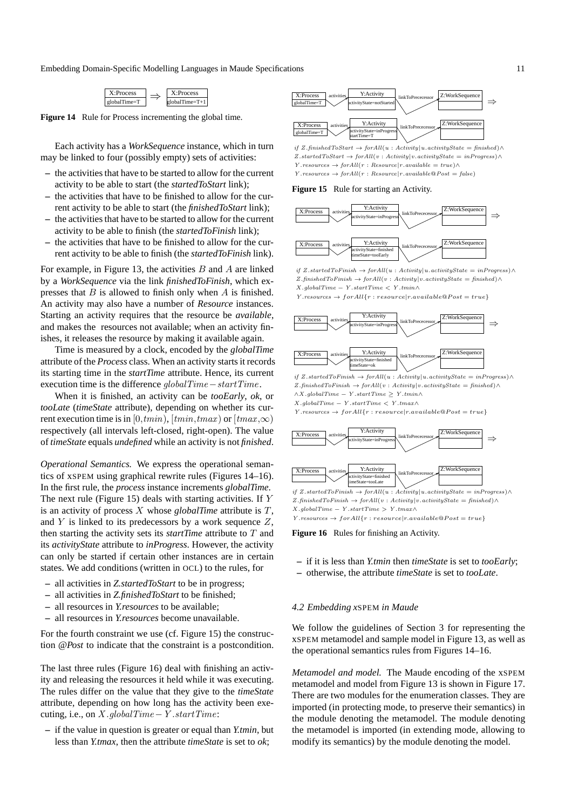

**Figure 14** Rule for Process incrementing the global time.

Each activity has a *WorkSequence* instance, which in turn may be linked to four (possibly empty) sets of activities:

- **–** the activities that have to be started to allow for the current activity to be able to start (the *startedToStart* link);
- **–** the activities that have to be finished to allow for the current activity to be able to start (the *finishedToStart* link);
- **–** the activities that have to be started to allow for the current activity to be able to finish (the *startedToFinish* link);
- **–** the activities that have to be finished to allow for the current activity to be able to finish (the *startedToFinish* link).

For example, in Figure 13, the activities  $B$  and  $A$  are linked by a *WorkSequence* via the link *finishedToFinish*, which expresses that  $B$  is allowed to finish only when  $A$  is finished. An activity may also have a number of *Resource* instances. Starting an activity requires that the resource be *available*, and makes the resources not available; when an activity finishes, it releases the resource by making it available again.

Time is measured by a clock, encoded by the *globalTime* attribute of the *Process* class. When an activity starts it records its starting time in the *startTime* attribute. Hence, its current execution time is the difference globalTime−startTime.

When it is finished, an activity can be *tooEarly*, *ok*, or *tooLate* (*timeState* attribute), depending on whether its current execution time is in [0,tmin), [tmin,tmax) or  $[tmax,\infty)$ respectively (all intervals left-closed, right-open). The value of *timeState* equals *undefined* while an activity is not *finished*.

*Operational Semantics.* We express the operational semantics of xSPEM using graphical rewrite rules (Figures 14–16). In the first rule, the *process* instance increments *globalTime*. The next rule (Figure 15) deals with starting activities. If Y is an activity of process  $X$  whose *globalTime* attribute is  $T$ , and  $Y$  is linked to its predecessors by a work sequence  $Z$ , then starting the activity sets its *startTime* attribute to T and its *activityState* attribute to *inProgress*. However, the activity can only be started if certain other instances are in certain states. We add conditions (written in OCL) to the rules, for

- **–** all activities in *Z.startedToStart* to be in progress;
- **–** all activities in *Z.finishedToStart* to be finished;
- **–** all resources in *Y.resources* to be available;
- **–** all resources in *Y.resources* become unavailable.

For the fourth constraint we use (cf. Figure 15) the construction *@Post* to indicate that the constraint is a postcondition.

The last three rules (Figure 16) deal with finishing an activity and releasing the resources it held while it was executing. The rules differ on the value that they give to the *timeState* attribute, depending on how long has the activity been executing, i.e., on  $X$ .globalTime − Y.startTime:

**–** if the value in question is greater or equal than *Y.tmin*, but less than *Y.tmax*, then the attribute *timeState* is set to *ok*;



 $Y$ .resources  $\rightarrow$  for All $(r:Resource | r. available@Post = false)$  $Z.\text{startedToStart} \rightarrow \text{forAll}(v : \text{Activity}|v.\text{activityState} = \text{inProgress}) \land$  $if \ Z. finished To Start \ \rightarrow forAll(u: Activity|u. activityState = finished) \land$  $Y$ .resources  $\rightarrow$  for All(r : Resource|r.available = true)∧

#### **Figure 15** Rule for starting an Activity.



 $X.globalTime - Y.startTime < Y.tmin \wedge$ if Z.startedToFinish  $\rightarrow$  forAll(u : Activity|u.activityState = inProgress)∧  $Z.\text{finishedToFinish} \rightarrow \text{forAll}(v : \text{Activity}|v.\text{activityState} = \text{finished}) \land$ 

 $Y$ .resources  $\rightarrow$  for All $\{r : resource|r. available@Post = true\}$ 



 $\land X. globalTime - Y. startTime \geq Y. tmin \land$ Z.finishedToFinish → forAll(v : Activity|v.activityState = finished)∧ if Z.startedToFinish  $\rightarrow$  forAll(u : Activity|u.activityState = inProgress)∧

 $X$ .global $Time - Y$ .startTime  $\lt Y$ .tmax $\land$ 

 $Y.\mathit{resources}\rightarrow \mathit{for All} \{r: \mathit{resource} | r.\mathit{available} @ \mathit{Post} = \mathit{true}\}$ 



 $Z$ .finishedToFinish → forAll(v: Activity|v.activityState = finished) $\land$  $X.globalTime - Y.startTime > Y.tmax \land$  $Y.\mathit{resources}\rightarrow\mathit{forAll}\{r:resource|r.available@Post=true\}$ 

**Figure 16** Rules for finishing an Activity.

- **–** if it is less than *Y.tmin* then *timeState* is set to *tooEarly*;
- **–** otherwise, the attribute *timeState* is set to *tooLate*.

#### *4.2 Embedding x*SPEM *in Maude*

We follow the guidelines of Section 3 for representing the xSPEM metamodel and sample model in Figure 13, as well as the operational semantics rules from Figures 14–16.

*Metamodel and model.* The Maude encoding of the xSPEM metamodel and model from Figure 13 is shown in Figure 17. There are two modules for the enumeration classes. They are imported (in protecting mode, to preserve their semantics) in the module denoting the metamodel. The module denoting the metamodel is imported (in extending mode, allowing to modify its semantics) by the module denoting the model.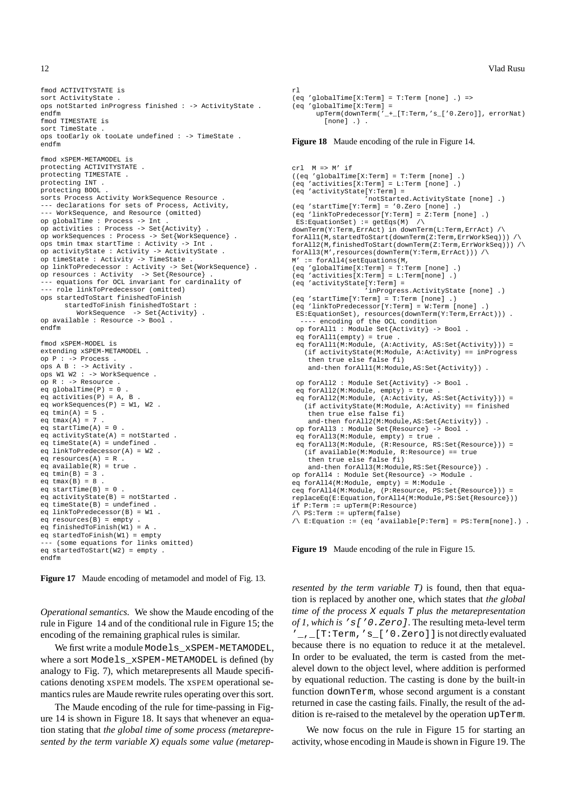fmod ACTIVITYSTATE is sort ActivityState . ops notStarted inProgress finished : -> ActivityState . endfm fmod TIMESTATE is sort TimeState ops tooEarly ok tooLate undefined : -> TimeState . endfm fmod xSPEM-METAMODEL is protecting ACTIVITYSTATE . protecting TIMESTATE . protecting INT . protecting BOOL . sorts Process Activity WorkSequence Resource . --- declarations for sets of Process, Activity, --- WorkSequence, and Resource (omitted) op globalTime : Process -> Int . op activities : Process -> Set{Activity} . op workSequences : Process -> Set{WorkSequence} . ops tmin tmax startTime : Activity -> Int . op activityState : Activity -> ActivityState . op timeState : Activity -> TimeState . op linkToPredecessor : Activity -> Set{WorkSequence} . op resources : Activity -> Set{Resource} . - equations for OCL invariant for cardinality of --- role linkToPredecessor (omitted) ops startedToStart finishedToFinish startedToFinish finishedToStart : WorkSequence -> Set{Activity} . op available : Resource -> Bool . endfm fmod xSPEM-MODEL is extending xSPEM-METAMODEL . op P : -> Process .  $ops A B : -> Activity$ ops W1 W2 : -> WorkSequence . op R : -> Resource . eq globalTime(P) = 0 . eq activities( $P$ ) = A, B eq workSequences(P) = W1, W2 . eq  $tmin(A) = 5$ . eq  $tmax(A) = 7$ eq startTime $(A) = 0$ . eq activityState(A) = notStarted . eq  $timeState(A) = undefined$ eq linkToPredecessor(A) = W2 . eq resources $(A) = R$ eq available(R) = true . eq  $tmin(B) = 3$ . eq  $tmax(B) = 8$ eq startTime $(B) = 0$ . eq activityState(B) = notStarted .  $eq$  timeState(B) = undefined eq linkToPredecessor(B) = W1 . eq resources(B) = empty . eq finishedToFinish(W1) =  $A$ .  $eq$  startedToFinish(W1) = empty - (some equations for links omitted) eq startedToStart(W2) =  $empty$ . endfm

**Figure 17** Maude encoding of metamodel and model of Fig. 13.

*Operational semantics.* We show the Maude encoding of the rule in Figure 14 and of the conditional rule in Figure 15; the encoding of the remaining graphical rules is similar.

We first write a module Models xSPEM-METAMODEL, where a sort Models\_xSPEM-METAMODEL is defined (by analogy to Fig. 7), which metarepresents all Maude specifications denoting xSPEM models. The xSPEM operational semantics rules are Maude rewrite rules operating over this sort.

The Maude encoding of the rule for time-passing in Figure 14 is shown in Figure 18. It says that whenever an equation stating that *the global time of some process (metarepresented by the term variable* X*) equals some value (metarep-*

#### $r<sup>1</sup>$ (eq 'globalTime[X:Term] = T:Term [none] .) => (eq 'globalTime[X:Term] = upTerm(downTerm(' + [T:Term,'s ['0.Zero]], errorNat) [none] .) .

**Figure 18** Maude encoding of the rule in Figure 14.

```
cr1 M => M' if
((eq 'globalTime[X:Term] = T:Term [none] .)
(eq 'activities[X:Term] = L:Term [none] .)
(eq 'activityState[Y:Term] =
                   'notStarted.ActivityState [none] .)
(eq 'startTime[Y:Term] = '0.Zero [none] .)
(eq 'linkToPredecessor[Y:Term] = Z:Term [none] .)
ES:EquationSet) := detEqs(M) /\
downTerm(Y:Term,ErrAct) in downTerm(L:Term,ErrAct) /\
forAll1(M,startedToStart(downTerm(Z:Term,ErrWorkSeq))) /\
forAll2(M,finishedToStart(downTerm(Z:Term,ErrWorkSeq))) /\
forAll3(M',resources(downTerm(Y:Term,ErrAct))) /\
M' := forAll4(setEquations(M,
(eq 'globalTime[X:Term] = T:Term [none] .)
(eq 'activities[X:Term] = L:Term[none] .)
(eq 'activityState[Y:Term] =
                   'inProgress.ActivityState [none] .)
(eq 'startTime[Y:Term] = T:Term [none] .)
(eq 'linkToPredecessor[Y:Term] = W:Term [none] .)
 ES:EquationSet), resources(downTerm(Y:Term,ErrAct))) .
---- encoding of the OCL condition
op forAll1 : Module Set{Activity} -> Bool .
 eq forAll1(empty) = true .
 eq forAll1(M:Module, (A:Activity, AS:Set{Activity})) =
   (if activityState(M:Module, A:Activity) == inProgress
    then true else false fi)
    and-then forAll1(M:Module,AS:Set{Activity}) .
op forAll2 : Module Set{Activity} -> Bool .
 eq forAll2(M:Module, empty) = true .
eq forAll2(M:Module, (A:Activity, AS:Set{Activity})) =
   (if activityState(M:Module, A:Activity) == finished
    then true else false fi)
    and-then forAll2(M:Module,AS:Set{Activity}) .
 op forAll3 : Module Set{Resource} -> Bool .
 eq forAll3(M:Module, empty) = true .
 eq forAll3(M:Module, (R:Resource, RS:Set{Resource})) =
   (if available(M:Module, R:Resource) == true
    then true else false fi)
    and-then forAll3(M:Module,RS:Set{Resource}) .
op forAll4 : Module Set{Resource} -> Module .
eq forAll4(M:Module, empty) = M:Module .
ceq forAll4(M:Module, (P:Resource, PS:Set{Resource})) =
replaceEq(E:Equation,forAll4(M:Module,PS:Set{Resource}))
if P:Term := upTerm(P:Resource)
\sqrt{\ } PS: Term := upTerm(false)
/\ E:Equation := (eq 'available[P:Term] = PS:Term[none].) .
```
**Figure 19** Maude encoding of the rule in Figure 15.

*resented by the term variable* T) is found, then that equation is replaced by another one, which states that *the global time of the process* X *equals* T *plus the metarepresentation of 1, which is* 's['0.Zero]. The resulting meta-level term '\_,\_[T:Term,'s\_['0.Zero]]is not directly evaluated because there is no equation to reduce it at the metalevel. In order to be evaluated, the term is casted from the metalevel down to the object level, where addition is performed by equational reduction. The casting is done by the built-in function downTerm, whose second argument is a constant returned in case the casting fails. Finally, the result of the addition is re-raised to the metalevel by the operation upTerm.

We now focus on the rule in Figure 15 for starting an activity, whose encoding in Maude is shown in Figure 19. The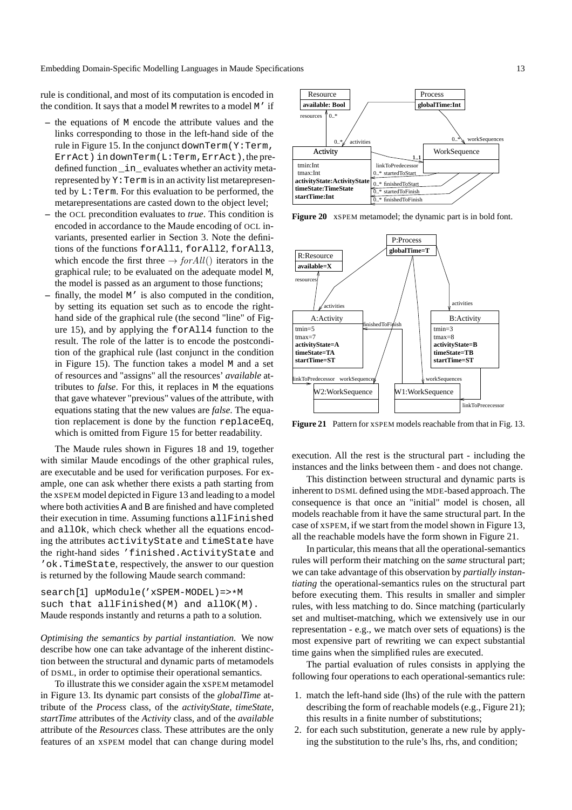rule is conditional, and most of its computation is encoded in the condition. It says that a model M rewrites to a model M' if

- **–** the equations of M encode the attribute values and the links corresponding to those in the left-hand side of the rule in Figure 15. In the conjunct downTerm( $Y:Term,$ ErrAct) in downTerm(L:Term,ErrAct), the predefined function \_in\_ evaluates whether an activity metarepresented by Y:Term is in an activity list metarepresented by L:Term. For this evaluation to be performed, the metarepresentations are casted down to the object level;
- **–** the OCL precondition evaluates to *true*. This condition is encoded in accordance to the Maude encoding of OCL invariants, presented earlier in Section 3. Note the definitions of the functions forAll1, forAll2, forAll3, which encode the first three  $\rightarrow$  for All() iterators in the graphical rule; to be evaluated on the adequate model M, the model is passed as an argument to those functions;
- finally, the model M' is also computed in the condition, by setting its equation set such as to encode the righthand side of the graphical rule (the second "line" of Figure 15), and by applying the forAll4 function to the result. The role of the latter is to encode the postcondition of the graphical rule (last conjunct in the condition in Figure 15). The function takes a model M and a set of resources and "assigns" all the resources' *available* attributes to *false*. For this, it replaces in M the equations that gave whatever "previous" values of the attribute, with equations stating that the new values are *false*. The equation replacement is done by the function replaceEq, which is omitted from Figure 15 for better readability.

The Maude rules shown in Figures 18 and 19, together with similar Maude encodings of the other graphical rules, are executable and be used for verification purposes. For example, one can ask whether there exists a path starting from the xSPEM model depicted in Figure 13 and leading to a model where both activities A and B are finished and have completed their execution in time. Assuming functions allFinished and allOk, which check whether all the equations encoding the attributes activityState and timeState have the right-hand sides 'finished.ActivityState and 'ok.TimeState, respectively, the answer to our question is returned by the following Maude search command:

search[1] upModule('xSPEM-MODEL)=>\*M such that allFinished(M) and allOK(M). Maude responds instantly and returns a path to a solution.

*Optimising the semantics by partial instantiation.* We now describe how one can take advantage of the inherent distinction between the structural and dynamic parts of metamodels of DSML, in order to optimise their operational semantics.

To illustrate this we consider again the xSPEM metamodel in Figure 13. Its dynamic part consists of the *globalTime* attribute of the *Process* class, of the *activityState, timeState, startTime* attributes of the *Activity* class, and of the *available* attribute of the *Resources* class. These attributes are the only features of an xSPEM model that can change during model



**Figure 20** xSPEM metamodel; the dynamic part is in bold font.



**Figure 21** Pattern for xSPEM models reachable from that in Fig. 13.

execution. All the rest is the structural part - including the instances and the links between them - and does not change.

This distinction between structural and dynamic parts is inherent to DSML defined using the MDE-based approach. The consequence is that once an "initial" model is chosen, all models reachable from it have the same structural part. In the case of xSPEM, if we start from the model shown in Figure 13, all the reachable models have the form shown in Figure 21.

In particular, this means that all the operational-semantics rules will perform their matching on the *same* structural part; we can take advantage of this observation by *partially instantiating* the operational-semantics rules on the structural part before executing them. This results in smaller and simpler rules, with less matching to do. Since matching (particularly set and multiset-matching, which we extensively use in our representation - e.g., we match over sets of equations) is the most expensive part of rewriting we can expect substantial time gains when the simplified rules are executed.

The partial evaluation of rules consists in applying the following four operations to each operational-semantics rule:

- 1. match the left-hand side (lhs) of the rule with the pattern describing the form of reachable models (e.g., Figure 21); this results in a finite number of substitutions;
- 2. for each such substitution, generate a new rule by applying the substitution to the rule's lhs, rhs, and condition;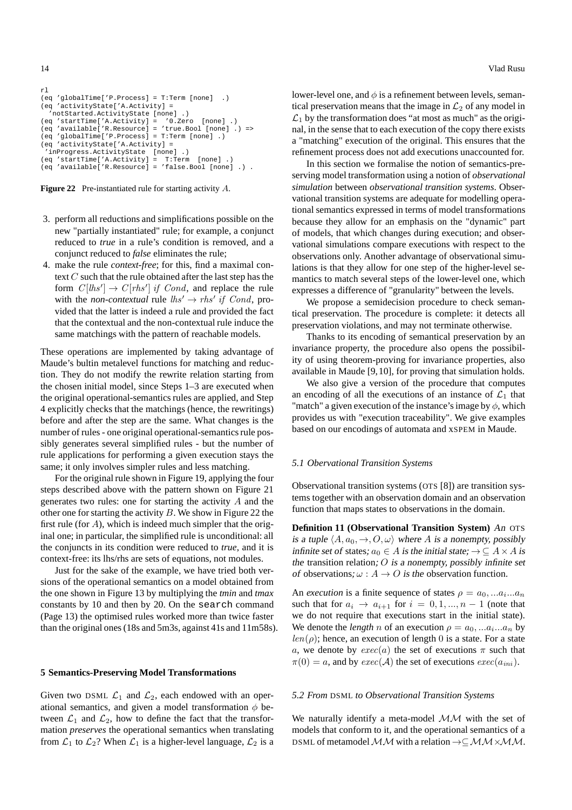```
rl
(eq 'globalTime['P.Process] = T:Term [none] .)
(eq 'activityState['A.Activity] =
   -<br>'notStarted.ActivityState [none] .)<br>q 'startTime['A.Activity] = 'O.Zero [none] .)
(eq 'startTime['A.Activity] =
(eq 'available['R.Resource] = 'true.Bool [none] .) =>
(eq 'globalTime['P.Process] = T:Term [none] .)
(eq 'activityState['A.Activity] =
 'inProgress.ActivityState [none] .)<br>eq 'startTime['A.Activity] = T:Term
(eq 'startTime['A.Activity] = T:Term [none] .)
(eq 'available['R.Resource] = 'false.Bool [none] .) .
```


- 3. perform all reductions and simplifications possible on the new "partially instantiated" rule; for example, a conjunct reduced to *true* in a rule's condition is removed, and a conjunct reduced to *false* eliminates the rule;
- 4. make the rule *context-free*; for this, find a maximal context  $C$  such that the rule obtained after the last step has the form  $C[hs'] \to C[rhs']$  if Cond, and replace the rule with the *non-contextual* rule  $\mathit{lhs}' \rightarrow \mathit{rhs}'$  if *Cond*, provided that the latter is indeed a rule and provided the fact that the contextual and the non-contextual rule induce the same matchings with the pattern of reachable models.

These operations are implemented by taking advantage of Maude's bultin metalevel functions for matching and reduction. They do not modify the rewrite relation starting from the chosen initial model, since Steps 1–3 are executed when the original operational-semantics rules are applied, and Step 4 explicitly checks that the matchings (hence, the rewritings) before and after the step are the same. What changes is the number of rules - one original operational-semantics rule possibly generates several simplified rules - but the number of rule applications for performing a given execution stays the same; it only involves simpler rules and less matching.

For the original rule shown in Figure 19, applying the four steps described above with the pattern shown on Figure 21 generates two rules: one for starting the activity  $A$  and the other one for starting the activity  $B$ . We show in Figure 22 the first rule (for  $A$ ), which is indeed much simpler that the original one; in particular, the simplified rule is unconditional: all the conjuncts in its condition were reduced to *true*, and it is context-free: its lhs/rhs are sets of equations, not modules.

Just for the sake of the example, we have tried both versions of the operational semantics on a model obtained from the one shown in Figure 13 by multiplying the *tmin* and *tmax* constants by 10 and then by 20. On the search command (Page 13) the optimised rules worked more than twice faster than the original ones (18s and 5m3s, against 41s and 11m58s).

#### **5 Semantics-Preserving Model Transformations**

Given two DSML  $\mathcal{L}_1$  and  $\mathcal{L}_2$ , each endowed with an operational semantics, and given a model transformation  $\phi$  between  $\mathcal{L}_1$  and  $\mathcal{L}_2$ , how to define the fact that the transformation *preserves* the operational semantics when translating from  $\mathcal{L}_1$  to  $\mathcal{L}_2$ ? When  $\mathcal{L}_1$  is a higher-level language,  $\mathcal{L}_2$  is a lower-level one, and  $\phi$  is a refinement between levels, semantical preservation means that the image in  $\mathcal{L}_2$  of any model in  $\mathcal{L}_1$  by the transformation does "at most as much" as the original, in the sense that to each execution of the copy there exists a "matching" execution of the original. This ensures that the refinement process does not add executions unaccounted for.

In this section we formalise the notion of semantics-preserving model transformation using a notion of *observational simulation* between *observational transition systems*. Observational transition systems are adequate for modelling operational semantics expressed in terms of model transformations because they allow for an emphasis on the "dynamic" part of models, that which changes during execution; and observational simulations compare executions with respect to the observations only. Another advantage of observational simulations is that they allow for one step of the higher-level semantics to match several steps of the lower-level one, which expresses a difference of "granularity" between the levels.

We propose a semidecision procedure to check semantical preservation. The procedure is complete: it detects all preservation violations, and may not terminate otherwise.

Thanks to its encoding of semantical preservation by an invariance property, the procedure also opens the possibility of using theorem-proving for invariance properties, also available in Maude [9,10], for proving that simulation holds.

We also give a version of the procedure that computes an encoding of all the executions of an instance of  $\mathcal{L}_1$  that "match" a given execution of the instance's image by  $\phi$ , which provides us with "execution traceability". We give examples based on our encodings of automata and xSPEM in Maude.

#### *5.1 Obervational Transition Systems*

Observational transition systems (OTS [8]) are transition systems together with an observation domain and an observation function that maps states to observations in the domain.

**Definition 11 (Observational Transition System)** An OTS is a tuple  $\langle A, a_0, \to, O, \omega \rangle$  where A is a nonempty, possibly infinite set of states;  $a_0 \in A$  is the initial state;  $\rightarrow \subseteq A \times A$  is the transition relation;  $O$  is a nonempty, possibly infinite set of observations;  $\omega : A \to O$  is the observation function.

An *execution* is a finite sequence of states  $\rho = a_0, \dots a_i \dots a_n$ such that for  $a_i \rightarrow a_{i+1}$  for  $i = 0, 1, ..., n-1$  (note that we do not require that executions start in the initial state). We denote the *length n* of an execution  $\rho = a_0, \dots a_i \dots a_n$  by  $len(\rho)$ ; hence, an execution of length 0 is a state. For a state a, we denote by  $exec(a)$  the set of executions  $\pi$  such that  $\pi(0) = a$ , and by  $exec(\mathcal{A})$  the set of executions  $exec(a_{ini})$ .

#### *5.2 From* DSML *to Observational Transition Systems*

We naturally identify a meta-model  $MM$  with the set of models that conform to it, and the operational semantics of a DSML of metamodel MM with a relation  $\rightarrow \subseteq M \rightarrow M \times M$ .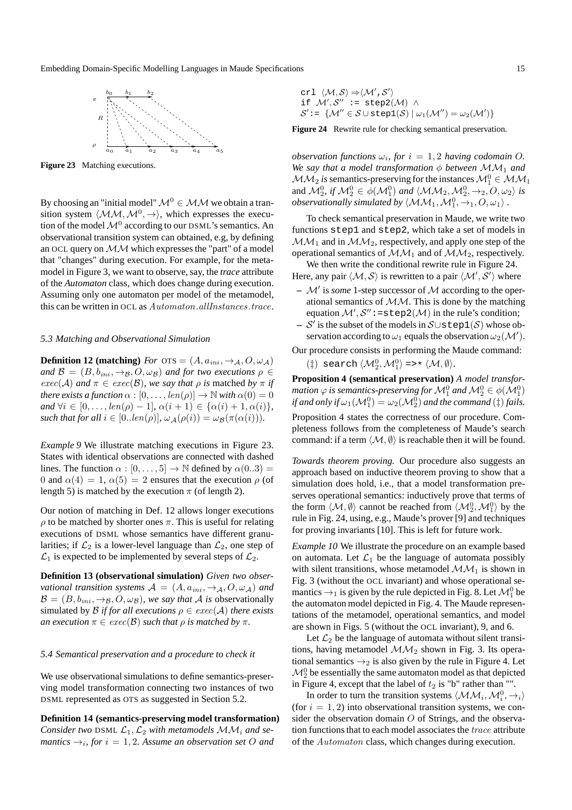

**Figure 23** Matching executions.

By choosing an "initial model"  $\mathcal{M}^0 \in \mathcal{MM}$  we obtain a transition system  $\langle M,M, M^0, \rightarrow \rangle$ , which expresses the execution of the model  $\mathcal{M}^0$  according to our DSML's semantics. An observational transition system can obtained, e.g, by defining an OCL query on  $MM$  which expresses the "part" of a model that "changes" during execution. For example, for the metamodel in Figure 3, we want to observe, say, the *trace* attribute of the *Automaton* class, which does change during execution. Assuming only one automaton per model of the metamodel, this can be written in OCL as Automaton.allInstances.trace.

#### *5.3 Matching and Observational Simulation*

**Definition 12 (matching)** *For*  $\text{OTS} = (A, a_{ini}, \rightarrow_A, O, \omega_A)$ *and*  $\mathcal{B} = (B, b_{ini}, \rightarrow_B, O, \omega_B)$  *and for two executions*  $\rho \in$  $exec(A)$  *and*  $\pi \in exec(B)$ *, we say that*  $\rho$  *is* matched *by*  $\pi$  *if there exists a function*  $\alpha$  :  $[0, \ldots, len(\rho)] \rightarrow \mathbb{N}$  *with*  $\alpha(0) = 0$ *and*  $\forall i \in [0, ..., len(\rho) - 1], \alpha(i + 1) \in {\alpha(i) + 1, \alpha(i)},$ *such that for all*  $i \in [0..len(\rho)], \omega_{\mathcal{A}}(\rho(i)) = \omega_{\mathcal{B}}(\pi(\alpha(i))).$ 

*Example 9* We illustrate matching executions in Figure 23. States with identical observations are connected with dashed lines. The function  $\alpha : [0, \ldots, 5] \rightarrow \mathbb{N}$  defined by  $\alpha(0..3) =$ 0 and  $\alpha(4) = 1$ ,  $\alpha(5) = 2$  ensures that the execution  $\rho$  (of length 5) is matched by the execution  $\pi$  (of length 2).

Our notion of matching in Def. 12 allows longer executions  $\rho$  to be matched by shorter ones  $\pi$ . This is useful for relating executions of DSML whose semantics have different granularities; if  $\mathcal{L}_2$  is a lower-level language than  $\mathcal{L}_2$ , one step of  $\mathcal{L}_1$  is expected to be implemented by several steps of  $\mathcal{L}_2$ .

**Definition 13 (observational simulation)** *Given two observational transition systems*  $A = (A, a_{ini}, \rightarrow_A, O, \omega_A)$  *and*  $\mathcal{B} = (B, b_{ini}, \rightarrow_B, O, \omega_B)$ *, we say that* A *is* observationally simulated by  $\beta$  *if for all executions*  $\rho \in exec(\mathcal{A})$  *there exists an execution*  $\pi \in \text{exec}(\mathcal{B})$  *such that*  $\rho$  *is matched by*  $\pi$ *.* 

#### *5.4 Semantical preservation and a procedure to check it*

We use observational simulations to define semantics-preserving model transformation connecting two instances of two DSML represented as OTS as suggested in Section 5.2.

**Definition 14 (semantics-preserving model transformation)** *Consider two* DSML  $\mathcal{L}_1, \mathcal{L}_2$  *with metamodels*  $\mathcal{MM}_i$  *and semantics*  $\rightarrow_i$ , for  $i = 1, 2$ . Assume an observation set O and

crl  $\langle \mathcal{M}, \mathcal{S} \rangle \Rightarrow \langle \mathcal{M}', \mathcal{S}' \rangle$ if  $\mathcal{M}', \mathcal{S}''$  := step2 $(\mathcal{M})$   $\wedge$  $\mathcal{S}' \colon = \{ \mathcal{M}'' \in \mathcal{S} \cup \text{step1}(\mathcal{S}) \mid \omega_1(\mathcal{M}'') = \omega_2(\mathcal{M}') \}$ 

**Figure 24** Rewrite rule for checking semantical preservation.

*observation functions*  $\omega_i$ , *for*  $i = 1, 2$  *having codomain O. We say that a model transformation*  $\phi$  *between*  $\mathcal{M}M_1$  *and*  $MM_2$  is semantics-preserving for the instances  $\mathcal{M}_1^0 \in \mathcal{MM}_1$ and  $\mathcal{M}_2^0$ , if  $\mathcal{M}_2^0 \in \phi(\mathcal{M}_1^0)$  and  $\langle \mathcal{MM}_2, \mathcal{M}_2^0, \rightarrow_2, O, \omega_2 \rangle$  is *observationally simulated by*  $\langle M M_1, \mathcal{M}_1^0, \rightarrow_1, O, \omega_1 \rangle$  *.* 

To check semantical preservation in Maude, we write two functions step1 and step2, which take a set of models in  $MM_1$  and in  $MM_2$ , respectively, and apply one step of the operational semantics of  $MM_1$  and of  $MM_2$ , respectively.

We then write the conditional rewrite rule in Figure 24. Here, any pair  $\langle \mathcal{M}, \mathcal{S} \rangle$  is rewritten to a pair  $\langle \mathcal{M}', \mathcal{S}' \rangle$  where

- **–** M′ is *some* 1-step successor of M according to the operational semantics of  $MM$ . This is done by the matching equation  $\mathcal{M}', \mathcal{S}'' \colon = \text{step2}(\mathcal{M})$  in the rule's condition;
- **–** S ′ is the subset of the models in S∪step1(S) whose observation according to  $\omega_1$  equals the observation  $\omega_2(\mathcal{M}')$ .

Our procedure consists in performing the Maude command:

(‡) search  $\langle \mathcal{M}_2^0, \mathcal{M}_1^0 \rangle \Rightarrow * \langle \mathcal{M}, \emptyset \rangle$ .

**Proposition 4 (semantical preservation)** *A model transfor*mation  $\varphi$  is semantics-preserving for  $\mathcal{M}^0_1$  and  $\mathcal{M}^0_2 \in \phi(\mathcal{M}^0_1)$ if and only if  $\omega_1(\mathcal{M}^0_1) = \omega_2(\mathcal{M}^0_2)$  and the command  $(\ddagger)$  fails.

Proposition 4 states the correctness of our procedure. Completeness follows from the completeness of Maude's search command: if a term  $\langle M, \emptyset \rangle$  is reachable then it will be found.

*Towards theorem proving.* Our procedure also suggests an approach based on inductive theorem proving to show that a simulation does hold, i.e., that a model transformation preserves operational semantics: inductively prove that terms of the form  $\langle \mathcal{M}, \emptyset \rangle$  cannot be reached from  $\langle \mathcal{M}_2^0, \mathcal{M}_1^0 \rangle$  by the rule in Fig. 24, using, e.g., Maude's prover [9] and techniques for proving invariants [10]. This is left for future work.

*Example 10* We illustrate the procedure on an example based on automata. Let  $\mathcal{L}_1$  be the language of automata possibly with silent transitions, whose metamodel  $\mathcal{MM}_1$  is shown in Fig. 3 (without the OCL invariant) and whose operational semantics  $\rightarrow_1$  is given by the rule depicted in Fig. 8. Let  $\mathcal{M}^0_1$  be the automaton model depicted in Fig. 4. The Maude representations of the metamodel, operational semantics, and model are shown in Figs. 5 (without the OCL invariant), 9, and 6.

Let  $\mathcal{L}_2$  be the language of automata without silent transitions, having metamodel  $\mathcal{MM}_2$  shown in Fig. 3. Its operational semantics  $\rightarrow_2$  is also given by the rule in Figure 4. Let  ${\cal M}^0_2$  be essentially the same automaton model as that depicted in Figure 4, except that the label of  $t_2$  is "b" rather than "".

In order to turn the transition systems  $\langle \mathcal{MM}_i, \mathcal{M}_i^0, \rightarrow_i \rangle$ (for  $i = 1, 2$ ) into observational transition systems, we consider the observation domain  $O$  of Strings, and the observation functions that to each model associates the trace attribute of the Automaton class, which changes during execution.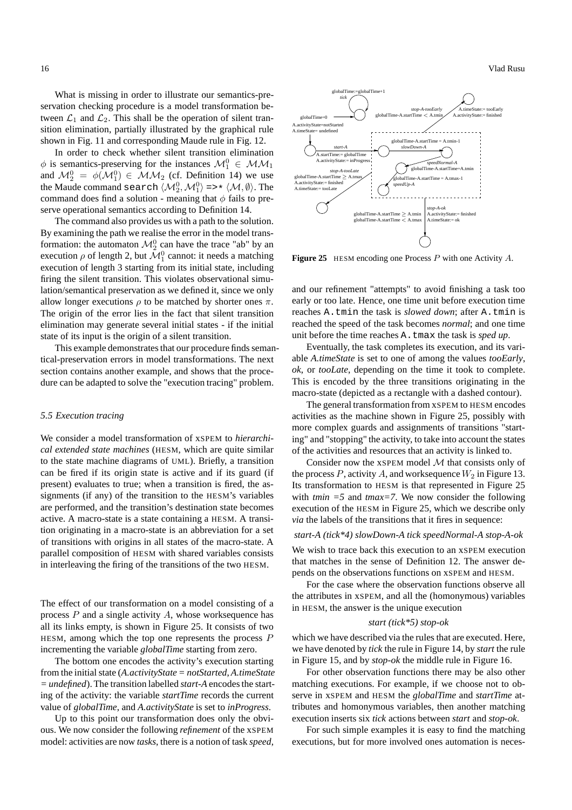16 Vlad Rusu

What is missing in order to illustrate our semantics-preservation checking procedure is a model transformation between  $\mathcal{L}_1$  and  $\mathcal{L}_2$ . This shall be the operation of silent transition elimination, partially illustrated by the graphical rule shown in Fig. 11 and corresponding Maude rule in Fig. 12.

In order to check whether silent transition elimination  $\phi$  is semantics-preserving for the instances  $\mathcal{M}_1^0 \in \mathcal{MM}_1$ and  $\mathcal{M}_2^0 = \phi(\mathcal{M}_1^0) \in \mathcal{MM}_2$  (cf. Definition 14) we use the Maude command search  $\langle \mathcal{M}_2^0, \mathcal{M}_1^0 \rangle$  =>\*  $\langle \mathcal{M}, \emptyset \rangle$ . The command does find a solution - meaning that  $\phi$  fails to preserve operational semantics according to Definition 14.

The command also provides us with a path to the solution. By examining the path we realise the error in the model transformation: the automaton  $\mathcal{M}_2^0$  can have the trace "ab" by an execution  $\rho$  of length 2, but  $\mathcal{M}_1^0$  cannot: it needs a matching execution of length 3 starting from its initial state, including firing the silent transition. This violates observational simulation/semantical preservation as we defined it, since we only allow longer executions  $\rho$  to be matched by shorter ones  $\pi$ . The origin of the error lies in the fact that silent transition elimination may generate several initial states - if the initial state of its input is the origin of a silent transition.

This example demonstrates that our procedure finds semantical-preservation errors in model transformations. The next section contains another example, and shows that the procedure can be adapted to solve the "execution tracing" problem.

#### *5.5 Execution tracing*

We consider a model transformation of xSPEM to *hierarchical extended state machines* (HESM, which are quite similar to the state machine diagrams of UML). Briefly, a transition can be fired if its origin state is active and if its guard (if present) evaluates to true; when a transition is fired, the assignments (if any) of the transition to the HESM's variables are performed, and the transition's destination state becomes active. A macro-state is a state containing a HESM. A transition originating in a macro-state is an abbreviation for a set of transitions with origins in all states of the macro-state. A parallel composition of HESM with shared variables consists in interleaving the firing of the transitions of the two HESM.

The effect of our transformation on a model consisting of a process  $P$  and a single activity  $A$ , whose worksequence has all its links empty, is shown in Figure 25. It consists of two HESM, among which the top one represents the process  $P$ incrementing the variable *globalTime* starting from zero.

The bottom one encodes the activity's execution starting from the initial state (*A.activityState = notStarted*, *A.timeState = undefined*). The transition labelled *start-A* encodes the starting of the activity: the variable *startTime* records the current value of *globalTime*, and *A.activityState* is set to *inProgress*.

Up to this point our transformation does only the obvious. We now consider the following *refinement* of the xSPEM model: activities are now *tasks*, there is a notion of task *speed*,



Figure 25 HESM encoding one Process P with one Activity A.

and our refinement "attempts" to avoid finishing a task too early or too late. Hence, one time unit before execution time reaches A.tmin the task is *slowed down*; after A.tmin is reached the speed of the task becomes *normal*; and one time unit before the time reaches A.tmax the task is *sped up*.

Eventually, the task completes its execution, and its variable *A.timeState* is set to one of among the values *tooEarly*, *ok*, or *tooLate*, depending on the time it took to complete. This is encoded by the three transitions originating in the macro-state (depicted as a rectangle with a dashed contour).

The general transformation from xSPEM to HESM encodes activities as the machine shown in Figure 25, possibly with more complex guards and assignments of transitions "starting" and "stopping" the activity, to take into account the states of the activities and resources that an activity is linked to.

Consider now the  $x$ SPEM model  $M$  that consists only of the process P, activity A, and works equence  $W_2$  in Figure 13. Its transformation to HESM is that represented in Figure 25 with *tmin =5* and *tmax=7*. We now consider the following execution of the HESM in Figure 25, which we describe only *via* the labels of the transitions that it fires in sequence:

#### *start-A (tick\*4) slowDown-A tick speedNormal-A stop-A-ok*

We wish to trace back this execution to an xSPEM execution that matches in the sense of Definition 12. The answer depends on the observations functions on xSPEM and HESM.

For the case where the observation functions observe all the attributes in xSPEM, and all the (homonymous) variables in HESM, the answer is the unique execution

#### *start (tick\*5) stop-ok*

which we have described via the rules that are executed. Here, we have denoted by *tick* the rule in Figure 14, by *start* the rule in Figure 15, and by *stop-ok* the middle rule in Figure 16.

For other observation functions there may be also other matching executions. For example, if we choose not to observe in xSPEM and HESM the *globalTime* and *startTime* attributes and homonymous variables, then another matching execution inserts six *tick* actions between *start* and *stop-ok*.

For such simple examples it is easy to find the matching executions, but for more involved ones automation is neces-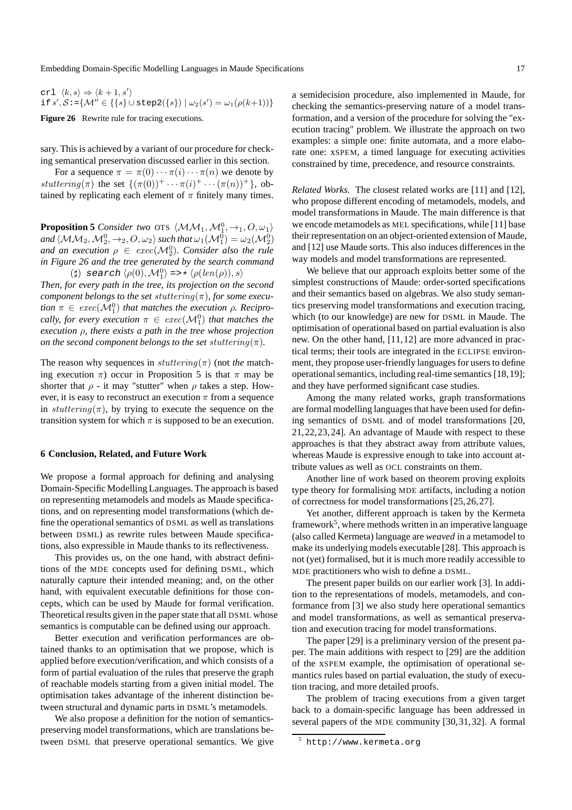crl  $\langle k, s \rangle \Rightarrow \langle k + 1, s' \rangle$ if  $s', S := \{ \mathcal{M}'' \in \{ \{ s \} \cup \text{step2}(\{ s \}) \mid \omega_2(s') = \omega_1(\rho(k+1)) \}$ 

Figure 26 Rewrite rule for tracing executions.

sary. This is achieved by a variant of our procedure for checking semantical preservation discussed earlier in this section.

For a sequence  $\pi = \pi(0) \cdots \pi(i) \cdots \pi(n)$  we denote by stuttering( $\pi$ ) the set  $\{(\pi(0))^+ \cdots \pi(i)^+ \cdots (\pi(n))^+\}$ , obtained by replicating each element of  $\pi$  finitely many times.

**Proposition 5** *Consider two* OTS  $\langle M_1, M_1^0, \rightarrow_1, O, \omega_1 \rangle$ and  $\langle$  MM<sub>2</sub>, M<sub>2</sub><sup>0</sup>,  $\rightarrow$ <sub>2</sub>, O,  $\omega$ <sub>2</sub> $\rangle$  such that  $\omega_1(\mathcal{M}^0_1) = \omega_2(\mathcal{M}^0_2)$ and an execution  $\rho \in exec(\mathcal{M}_2^0)$ . Consider also the rule *in Figure 26 and the tree generated by the search command* (‡) search  $\langle \rho(0), \mathcal{M}_1^0 \rangle \Longrightarrow \langle \rho(len(\rho)), s \rangle$ 

*Then, for every path in the tree, its projection on the second component belongs to the set stuttering* $(\pi)$ *, for some execu-* $\phi$   $\pi \in \text{exec}(\mathcal{M}_1^0)$  *that matches the execution*  $\rho$ *. Recipro-* $\textit{cally, for every execution } \pi \in \textit{exec}(\mathcal{M}_1^0) \textit{ that matches the}$ *execution* ρ*, there exists a path in the tree whose projection on the second component belongs to the set stuttering* $(\pi)$ *.* 

The reason why sequences in  $stuttering(\pi)$  (not *the* matching execution  $\pi$ ) occur in Proposition 5 is that  $\pi$  may be shorter that  $\rho$  - it may "stutter" when  $\rho$  takes a step. However, it is easy to reconstruct an execution  $\pi$  from a sequence in stuttering( $\pi$ ), by trying to execute the sequence on the transition system for which  $\pi$  is supposed to be an execution.

#### **6 Conclusion, Related, and Future Work**

We propose a formal approach for defining and analysing Domain-Specific Modelling Languages. The approach is based on representing metamodels and models as Maude specifications, and on representing model transformations (which define the operational semantics of DSML as well as translations between DSML) as rewrite rules between Maude specifications, also expressible in Maude thanks to its reflectiveness.

This provides us, on the one hand, with abstract definitions of the MDE concepts used for defining DSML, which naturally capture their intended meaning; and, on the other hand, with equivalent executable definitions for those concepts, which can be used by Maude for formal verification. Theoretical results given in the paper state that all DSML whose semantics is computable can be defined using our approach.

Better execution and verification performances are obtained thanks to an optimisation that we propose, which is applied before execution/verification, and which consists of a form of partial evaluation of the rules that preserve the graph of reachable models starting from a given initial model. The optimisation takes advantage of the inherent distinction between structural and dynamic parts in DSML's metamodels.

We also propose a definition for the notion of semanticspreserving model transformations, which are translations between DSML that preserve operational semantics. We give a semidecision procedure, also implemented in Maude, for checking the semantics-preserving nature of a model transformation, and a version of the procedure for solving the "execution tracing" problem. We illustrate the approach on two examples: a simple one: finite automata, and a more elaborate one: xSPEM, a timed language for executing activities constrained by time, precedence, and resource constraints.

*Related Works.* The closest related works are [11] and [12], who propose different encoding of metamodels, models, and model transformations in Maude. The main difference is that we encode metamodels as MEL specifications, while [11] base their representation on an object-oriented extension of Maude, and [12] use Maude sorts. This also induces differences in the way models and model transformations are represented.

We believe that our approach exploits better some of the simplest constructions of Maude: order-sorted specifications and their semantics based on algebras. We also study semantics preserving model transformations and execution tracing, which (to our knowledge) are new for DSML in Maude. The optimisation of operational based on partial evaluation is also new. On the other hand, [11,12] are more advanced in practical terms; their tools are integrated in the ECLIPSE environment, they propose user-friendly languages for users to define operational semantics, including real-time semantics [18,19]; and they have performed significant case studies.

Among the many related works, graph transformations are formal modelling languages that have been used for defining semantics of DSML and of model transformations [20, 21,22,23,24]. An advantage of Maude with respect to these approaches is that they abstract away from attribute values, whereas Maude is expressive enough to take into account attribute values as well as OCL constraints on them.

Another line of work based on theorem proving exploits type theory for formalising MDE artifacts, including a notion of correctness for model transformations [25,26,27].

Yet another, different approach is taken by the Kermeta framework<sup>5</sup>, where methods written in an imperative language (also called Kermeta) language are *weaved* in a metamodel to make its underlying models executable [28]. This approach is not (yet) formalised, but it is much more readily accessible to MDE practitioners who wish to define a DSML.

The present paper builds on our earlier work [3]. In addition to the representations of models, metamodels, and conformance from [3] we also study here operational semantics and model transformations, as well as semantical preservation and execution tracing for model transformations.

The paper [29] is a preliminary version of the present paper. The main additions with respect to [29] are the addition of the xSPEM example, the optimisation of operational semantics rules based on partial evaluation, the study of execution tracing, and more detailed proofs.

The problem of tracing executions from a given target back to a domain-specific language has been addressed in several papers of the MDE community [30,31,32]. A formal

<sup>5</sup> http://www.kermeta.org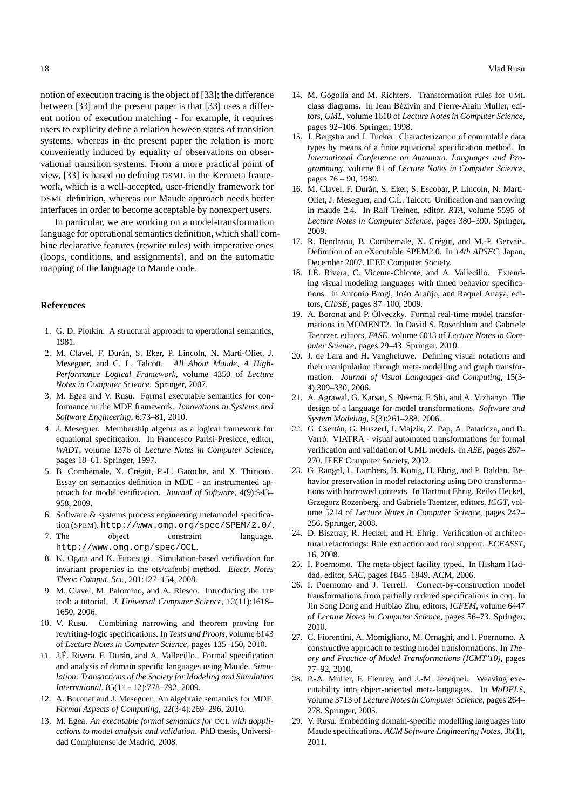notion of execution tracing is the object of [33]; the difference between [33] and the present paper is that [33] uses a different notion of execution matching - for example, it requires users to explicity define a relation beween states of transition systems, whereas in the present paper the relation is more conveniently induced by equality of observations on observational transition systems. From a more practical point of view, [33] is based on defining DSML in the Kermeta framework, which is a well-accepted, user-friendly framework for DSML definition, whereas our Maude approach needs better interfaces in order to become acceptable by nonexpert users.

In particular, we are working on a model-transformation language for operational semantics definition, which shall combine declarative features (rewrite rules) with imperative ones (loops, conditions, and assignments), and on the automatic mapping of the language to Maude code.

#### **References**

- 1. G. D. Plotkin. A structural approach to operational semantics, 1981.
- 2. M. Clavel, F. Durán, S. Eker, P. Lincoln, N. Martí-Oliet, J. Meseguer, and C. L. Talcott. *All About Maude, A High-Performance Logical Framework*, volume 4350 of *Lecture Notes in Computer Science*. Springer, 2007.
- 3. M. Egea and V. Rusu. Formal executable semantics for conformance in the MDE framework. *Innovations in Systems and Software Engineering*, 6:73–81, 2010.
- 4. J. Meseguer. Membership algebra as a logical framework for equational specification. In Francesco Parisi-Presicce, editor, *WADT*, volume 1376 of *Lecture Notes in Computer Science*, pages 18–61. Springer, 1997.
- 5. B. Combemale, X. Crégut, P.-L. Garoche, and X. Thirioux. Essay on semantics definition in MDE - an instrumented approach for model verification. *Journal of Software*, 4(9):943– 958, 2009.
- 6. Software & systems process engineering metamodel specification (SPEM). http://www.omg.org/spec/SPEM/2.0/.
- 7. The object constraint language. http://www.omg.org/spec/OCL.
- 8. K. Ogata and K. Futatsugi. Simulation-based verification for invariant properties in the ots/cafeobj method. *Electr. Notes Theor. Comput. Sci.*, 201:127–154, 2008.
- 9. M. Clavel, M. Palomino, and A. Riesco. Introducing the ITP tool: a tutorial. *J. Universal Computer Science*, 12(11):1618– 1650, 2006.
- 10. V. Rusu. Combining narrowing and theorem proving for rewriting-logic specifications. In *Tests and Proofs*, volume 6143 of *Lecture Notes in Computer Science*, pages 135–150, 2010.
- 11. J.E. Rivera, F. Durán, and A. Vallecillo. Formal specification and analysis of domain specific languages using Maude. *Simulation: Transactions of the Society for Modeling and Simulation International*, 85(11 - 12):778–792, 2009.
- 12. A. Boronat and J. Meseguer. An algebraic semantics for MOF. *Formal Aspects of Computing*, 22(3-4):269–296, 2010.
- 13. M. Egea. *An executable formal semantics for* OCL *with aopplications to model analysis and validation*. PhD thesis, Universidad Complutense de Madrid, 2008.
- 14. M. Gogolla and M. Richters. Transformation rules for UML class diagrams. In Jean Bézivin and Pierre-Alain Muller, editors, *UML*, volume 1618 of *Lecture Notes in Computer Science*, pages 92–106. Springer, 1998.
- 15. J. Bergstra and J. Tucker. Characterization of computable data types by means of a finite equational specification method. In *International Conference on Automata, Languages and Programming*, volume 81 of *Lecture Notes in Computer Science*, pages 76 – 90, 1980.
- 16. M. Clavel, F. Durán, S. Eker, S. Escobar, P. Lincoln, N. Martí-Oliet, J. Meseguer, and C.L. Talcott. Unification and narrowing in maude 2.4. In Ralf Treinen, editor, *RTA*, volume 5595 of *Lecture Notes in Computer Science*, pages 380–390. Springer, 2009.
- 17. R. Bendraou, B. Combemale, X. Crégut, and M.-P. Gervais. Definition of an eXecutable SPEM2.0. In *14th APSEC*, Japan, December 2007. IEEE Computer Society.
- 18. J.E. Rivera, C. Vicente-Chicote, and A. Vallecillo. Extending visual modeling languages with timed behavior specifications. In Antonio Brogi, João Araújo, and Raquel Anaya, editors, *CIbSE*, pages 87–100, 2009.
- 19. A. Boronat and P. Ölveczky. Formal real-time model transformations in MOMENT2. In David S. Rosenblum and Gabriele Taentzer, editors, *FASE*, volume 6013 of *Lecture Notes in Computer Science*, pages 29–43. Springer, 2010.
- 20. J. de Lara and H. Vangheluwe. Defining visual notations and their manipulation through meta-modelling and graph transformation. *Journal of Visual Languages and Computing*, 15(3- 4):309–330, 2006.
- 21. A. Agrawal, G. Karsai, S. Neema, F. Shi, and A. Vizhanyo. The design of a language for model transformations. *Software and System Modeling*, 5(3):261–288, 2006.
- 22. G. Csertán, G. Huszerl, I. Majzik, Z. Pap, A. Pataricza, and D. Varró. VIATRA - visual automated transformations for formal verification and validation of UML models. In *ASE*, pages 267– 270. IEEE Computer Society, 2002.
- 23. G. Rangel, L. Lambers, B. König, H. Ehrig, and P. Baldan. Behavior preservation in model refactoring using DPO transformations with borrowed contexts. In Hartmut Ehrig, Reiko Heckel, Grzegorz Rozenberg, and Gabriele Taentzer, editors, *ICGT*, volume 5214 of *Lecture Notes in Computer Science*, pages 242– 256. Springer, 2008.
- 24. D. Bisztray, R. Heckel, and H. Ehrig. Verification of architectural refactorings: Rule extraction and tool support. *ECEASST*, 16, 2008.
- 25. I. Poernomo. The meta-object facility typed. In Hisham Haddad, editor, *SAC*, pages 1845–1849. ACM, 2006.
- 26. I. Poernomo and J. Terrell. Correct-by-construction model transformations from partially ordered specifications in coq. In Jin Song Dong and Huibiao Zhu, editors, *ICFEM*, volume 6447 of *Lecture Notes in Computer Science*, pages 56–73. Springer, 2010.
- 27. C. Fiorentini, A. Momigliano, M. Ornaghi, and I. Poernomo. A constructive approach to testing model transformations. In *Theory and Practice of Model Transformations (ICMT'10)*, pages 77–92, 2010.
- 28. P.-A. Muller, F. Fleurey, and J.-M. Jézéquel. Weaving executability into object-oriented meta-languages. In *MoDELS*, volume 3713 of *Lecture Notes in Computer Science*, pages 264– 278. Springer, 2005.
- 29. V. Rusu. Embedding domain-specific modelling languages into Maude specifications. *ACM Software Engineering Notes*, 36(1), 2011.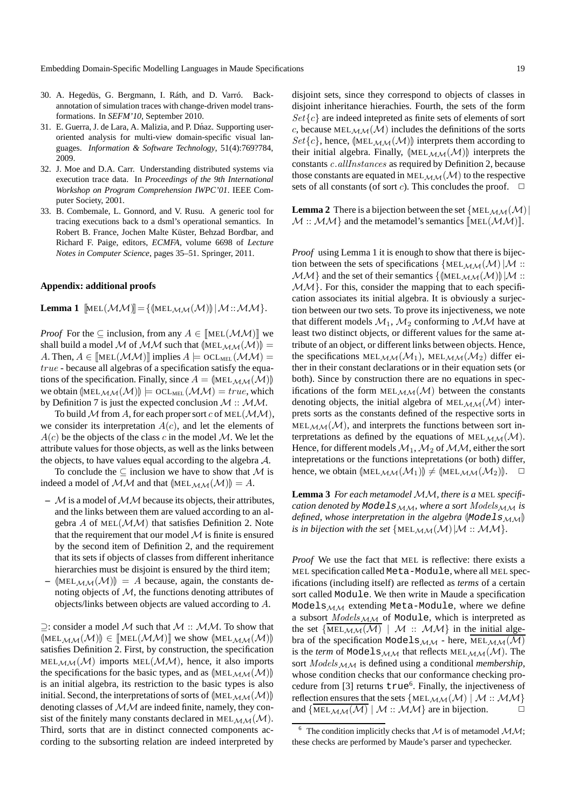- 30. A. Hegedüs, G. Bergmann, I. Ráth, and D. Varró. Backannotation of simulation traces with change-driven model transformations. In *SEFM'10*, September 2010.
- 31. E. Guerra, J. de Lara, A. Malizia, and P. Dnaz. Supporting useroriented analysis for multi-view domain-specific visual languages. *Information & Software Technology*, 51(4):769?784, 2009.
- 32. J. Moe and D.A. Carr. Understanding distributed systems via execution trace data. In *Proceedings of the 9th International Workshop on Program Comprehension IWPC'01*. IEEE Computer Society, 2001.
- 33. B. Combemale, L. Gonnord, and V. Rusu. A generic tool for tracing executions back to a dsml's operational semantics. In Robert B. France, Jochen Malte Küster, Behzad Bordbar, and Richard F. Paige, editors, *ECMFA*, volume 6698 of *Lecture Notes in Computer Science*, pages 35–51. Springer, 2011.

#### **Appendix: additional proofs**

**Lemma 1**  $[\text{MEL}(\mathcal{MM})]=\{(\text{MEL}_{\mathcal{MM}}(\mathcal{M}))|\mathcal{M}:\mathcal{MM}\}.$ 

*Proof* For the  $\subseteq$  inclusion, from any  $A \in [\text{MEL}(\mathcal{M}\mathcal{M})]$  we shall build a model M of MM such that  $(\text{MEL}_{MM}(M)) =$ A. Then,  $A \in [\text{MEL}(\mathcal{M}\mathcal{M})]$  implies  $A \models \text{OCL}_{\text{MEL}}(\mathcal{M}\mathcal{M})$  = true - because all algebras of a specification satisfy the equations of the specification. Finally, since  $A = |MEL_{MM}(M)|$ we obtain  $(\text{MEL}_{\mathcal{MM}}(\mathcal{M})) \models \text{OCL}_{\text{MEL}}(\mathcal{MM}) = true$ , which by Definition 7 is just the expected conclusion  $M$  ::  $MM$ .

To build M from A, for each proper sort c of MEL( $\mathcal{MM}$ ), we consider its interpretation  $A(c)$ , and let the elements of  $A(c)$  be the objects of the class c in the model M. We let the attribute values for those objects, as well as the links between the objects, to have values equal according to the algebra  $A$ .

To conclude the  $\subseteq$  inclusion we have to show that M is indeed a model of  $MM$  and that  $[MEL_{MM}(M)] = A$ .

- $-$  *M* is a model of *MM* because its objects, their attributes, and the links between them are valued according to an algebra A of MEL $(\mathcal{M}\mathcal{M})$  that satisfies Definition 2. Note that the requirement that our model  $M$  is finite is ensured by the second item of Definition 2, and the requirement that its sets if objects of classes from different inheritance hierarchies must be disjoint is ensured by the third item;
- $|\text{MEL}_{\mathcal{M}\mathcal{M}}(\mathcal{M})| = A$  because, again, the constants denoting objects of  $M$ , the functions denoting attributes of objects/links between objects are valued according to A.

 $\supseteq$ : consider a model M such that  $M$  :: MM. To show that  $(\text{MEL}_{MM}(\mathcal{M})) \in [\text{MEL}(\mathcal{M}\mathcal{M})]$  we show  $(\text{MEL}_{MM}(\mathcal{M}))$ satisfies Definition 2. First, by construction, the specification  $MEL_{\mathcal{MM}}(\mathcal{M})$  imports  $MEL(\mathcal{MM})$ , hence, it also imports the specifications for the basic types, and as  $[MEL<sub>MM</sub>(M)]$ is an initial algebra, its restriction to the basic types is also initial. Second, the interpretations of sorts of  $(\text{MEL}_{\text{MM}}(\mathcal{M}))$ denoting classes of MM are indeed finite, namely, they consist of the finitely many constants declared in  $MELMM(M)$ . Third, sorts that are in distinct connected components according to the subsorting relation are indeed interpreted by disjoint sets, since they correspond to objects of classes in disjoint inheritance hierachies. Fourth, the sets of the form  $Set{c}$  are indeed intepreted as finite sets of elements of sort c, because  $MEL_{MM}(M)$  includes the definitions of the sorts  $Set{c}$ , hence,  $(MEL<sub>MM</sub>(M))$  interprets them according to their initial algebra. Finally,  $[MEL<sub>MM</sub>(M)]$  interprets the constants c.allInstances as required by Definition 2, because those constants are equated in MEL<sub>MM</sub> $(M)$  to the respective sets of all constants (of sort *c*). This concludes the proof.  $\Box$ 

**Lemma 2** There is a bijection between the set  $\{MEL_{MM}(M) |$  $M : M \setminus M$  and the metamodel's semantics  $[\text{MEL}(\mathcal{M}|\mathcal{M})]]$ .

*Proof* using Lemma 1 it is enough to show that there is bijection between the sets of specifications  $\{MEL_{MM}(M)|M\}$ :  $MM$  and the set of their semantics  $\{(\text{MEL}_{MM}(M))|\mid M: \ldots\}$  $MM$ . For this, consider the mapping that to each specification associates its initial algebra. It is obviously a surjection between our two sets. To prove its injectiveness, we note that different models  $\mathcal{M}_1$ ,  $\mathcal{M}_2$  conforming to  $\mathcal{M}\mathcal{M}$  have at least two distinct objects, or different values for the same attribute of an object, or different links between objects. Hence, the specifications MEL<sub>MM</sub> $(\mathcal{M}_1)$ , MEL<sub>MM</sub> $(\mathcal{M}_2)$  differ either in their constant declarations or in their equation sets (or both). Since by construction there are no equations in specifications of the form  $MEL<sub>MM</sub>(M)$  between the constants denoting objects, the initial algebra of MEL $_{\mathcal{M}\mathcal{M}}(\mathcal{M})$  interprets sorts as the constants defined of the respective sorts in  $MEL<sub>MM</sub>(M)$ , and interprets the functions between sort interpretations as defined by the equations of MEL $_{\mathcal{MM}}(\mathcal{M})$ . Hence, for different models  $\mathcal{M}_1$ ,  $\mathcal{M}_2$  of  $\mathcal{MM}$ , either the sort intepretations or the functions intepretations (or both) differ, hence, we obtain  $(\text{MEL}_{\mathcal{M}\mathcal{M}}(\mathcal{M}_1)) \neq (\text{MEL}_{\mathcal{M}\mathcal{M}}(\mathcal{M}_2))$ .  $\Box$ 

Lemma 3 For each metamodel MM, there is a MEL specifi*cation denoted by* Models<sub>MM</sub>, where a sort  $Models_{MM}$  *is defined, whose interpretation in the algebra*  $(Models_{MM}$ *is in bijection with the set*  $\{MEL_{MM}(M) | M: M M\}.$ 

*Proof* We use the fact that MEL is reflective: there exists a MEL specification called Meta-Module, where all MEL specifications (including itself) are reflected as *terms* of a certain sort called Module. We then write in Maude a specification Models $_{MM}$  extending Meta-Module, where we define a subsort  $Models_{MM}$  of Module, which is interpreted as the set  $\{\overline{\text{MEL}_{MM}(M)} \mid M :: MM\}$  in the initial algebra of the specification Models $_{\mathcal{M}\mathcal{M}}$  - here,  $\overline{\text{MEL}_{\mathcal{M}\mathcal{M}}(\mathcal{M})}$ is the *term* of Models $_{\mathcal{MM}}$  that reflects MEL $_{\mathcal{MM}}(\mathcal{M})$ . The sort  $Models_{MM}$  is defined using a conditional *membership*, whose condition checks that our conformance checking procedure from [3] returns true<sup>6</sup>. Finally, the injectiveness of reflection ensures that the sets  $\{MEL_{MM}(M) | M : : MM\}$ and  $\{\overline{\text{MEL}_{MM}(M)} \mid M : M \cup M\}$  are in bijection.

 $6$  The condition implicitly checks that M is of metamodel MM; these checks are performed by Maude's parser and typechecker.